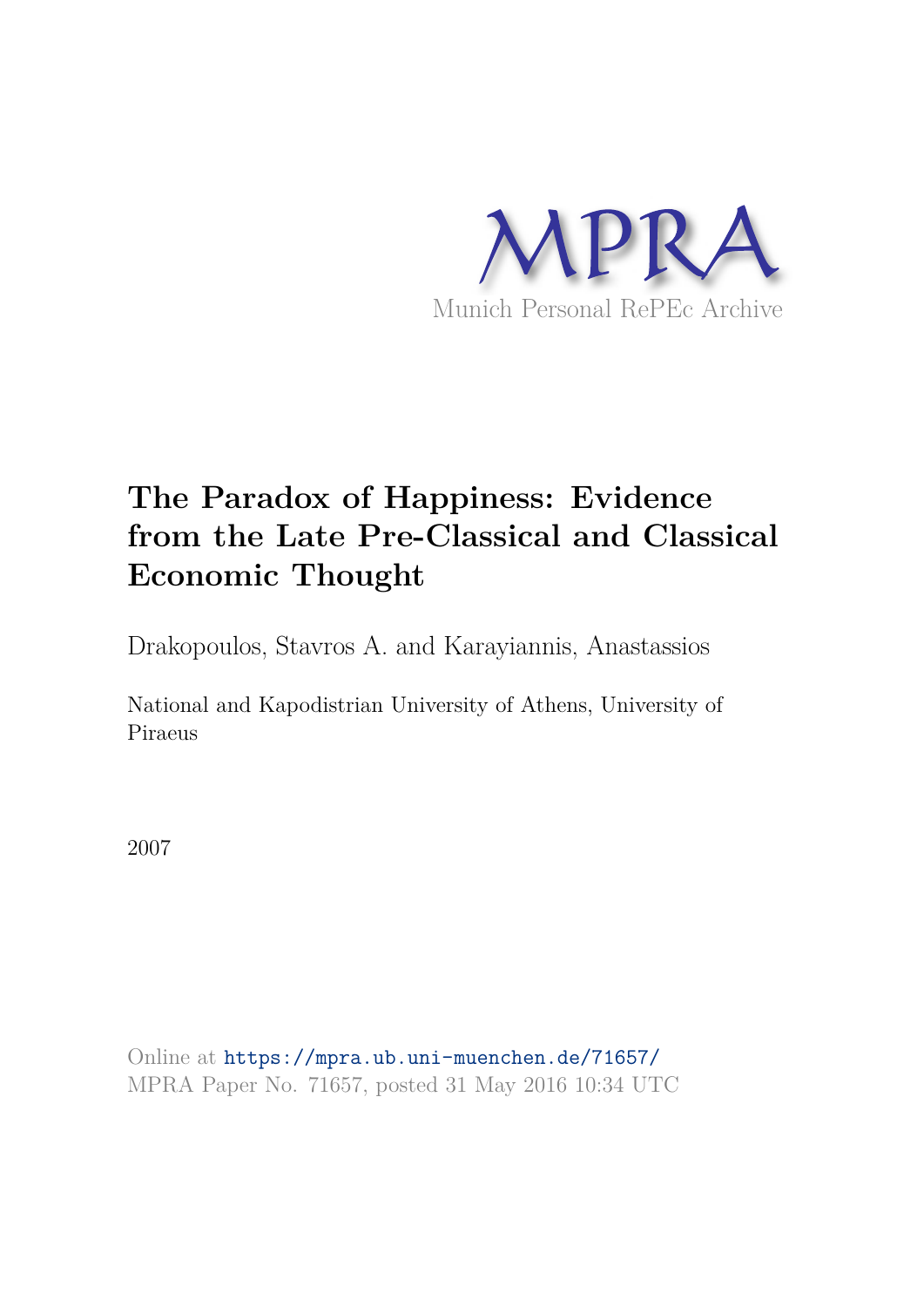

# **The Paradox of Happiness: Evidence from the Late Pre-Classical and Classical Economic Thought**

Drakopoulos, Stavros A. and Karayiannis, Anastassios

National and Kapodistrian University of Athens, University of Piraeus

2007

Online at https://mpra.ub.uni-muenchen.de/71657/ MPRA Paper No. 71657, posted 31 May 2016 10:34 UTC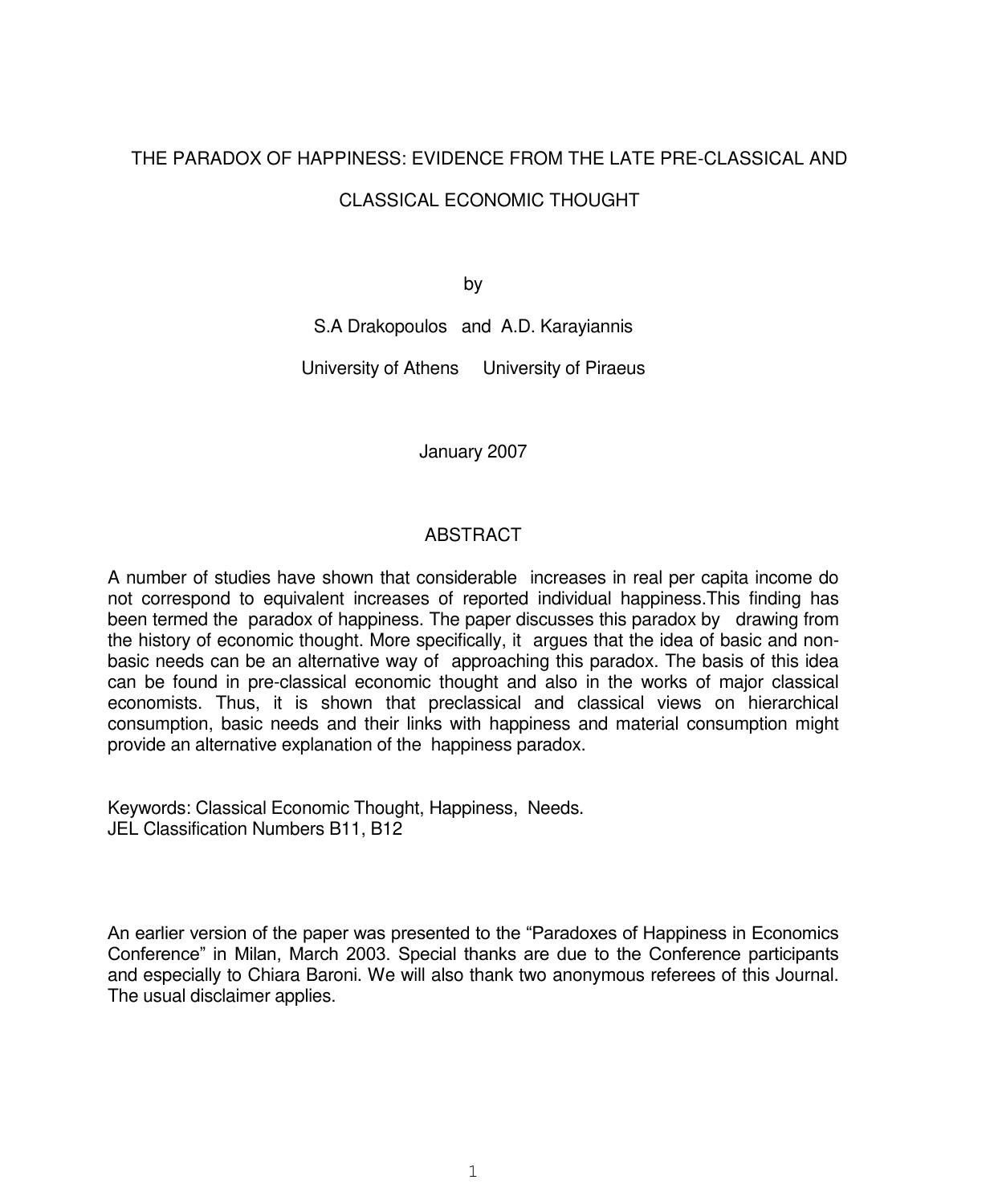## THE PARADOX OF HAPPINESS: EVIDENCE FROM THE LATE PRE-CLASSICAL AND CLASSICAL ECONOMIC THOUGHT

by

S.A Drakopoulos and A.D. Karayiannis

University of Athens University of Piraeus

January 2007

### **ABSTRACT**

A number of studies have shown that considerable increases in real per capita income do not correspond to equivalent increases of reported individual happiness.This finding has been termed the paradox of happiness. The paper discusses this paradox by drawing from the history of economic thought. More specifically, it argues that the idea of basic and nonbasic needs can be an alternative way of approaching this paradox. The basis of this idea can be found in pre-classical economic thought and also in the works of major classical economists. Thus, it is shown that preclassical and classical views on hierarchical consumption, basic needs and their links with happiness and material consumption might provide an alternative explanation of the happiness paradox.

Keywords: Classical Economic Thought, Happiness, Needs. JEL Classification Numbers B11, B12

An earlier version of the paper was presented to the "Paradoxes of Happiness in Economics Conference" in Milan, March 2003. Special thanks are due to the Conference participants and especially to Chiara Baroni. We will also thank two anonymous referees of this Journal. The usual disclaimer applies.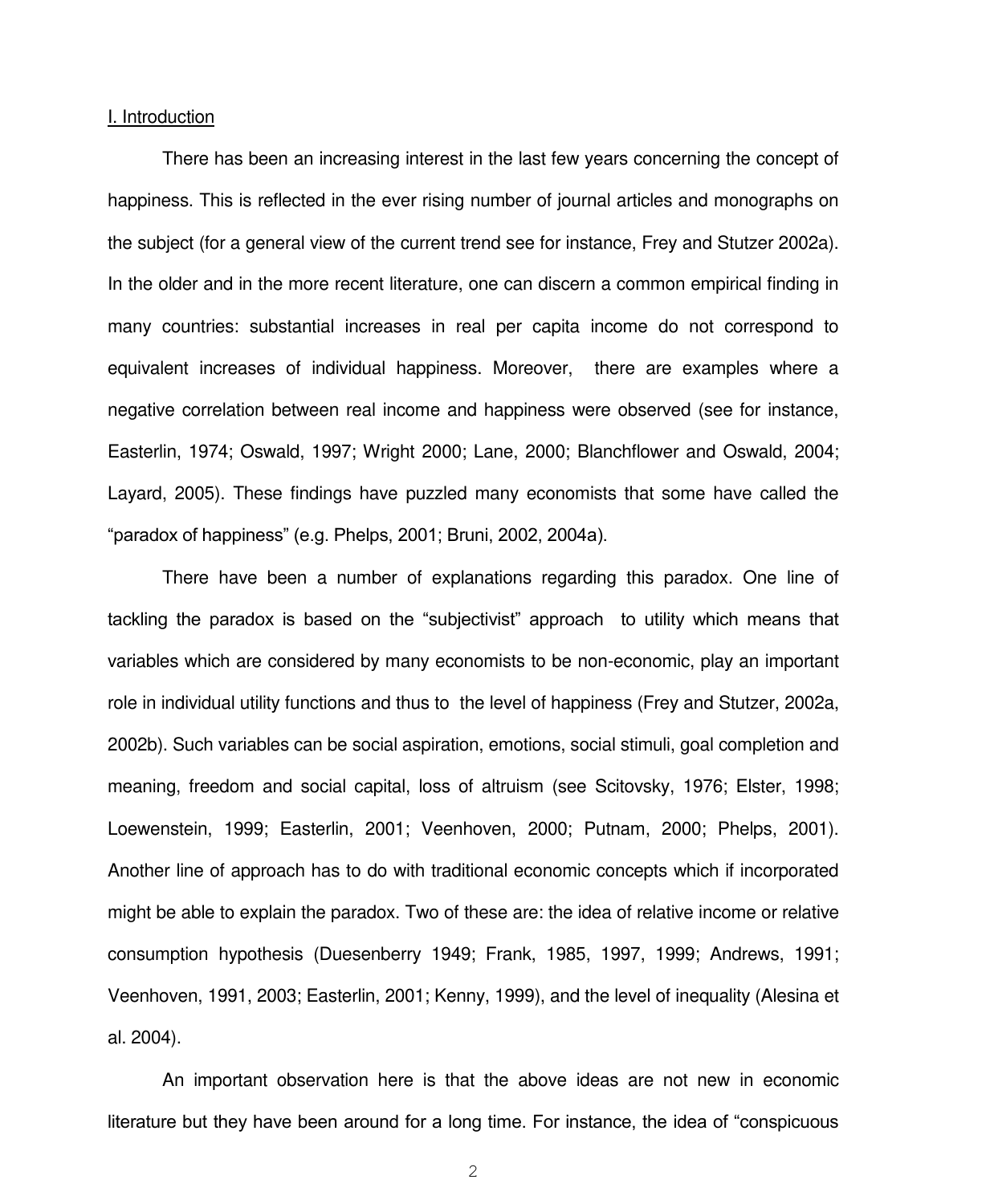#### I. Introduction

There has been an increasing interest in the last few years concerning the concept of happiness. This is reflected in the ever rising number of journal articles and monographs on the subject (for a general view of the current trend see for instance, Frey and Stutzer 2002a). In the older and in the more recent literature, one can discern a common empirical finding in many countries: substantial increases in real per capita income do not correspond to equivalent increases of individual happiness. Moreover, there are examples where a negative correlation between real income and happiness were observed (see for instance, Easterlin, 1974; Oswald, 1997; Wright 2000; Lane, 2000; Blanchflower and Oswald, 2004; Layard, 2005). These findings have puzzled many economists that some have called the "paradox of happiness" (e.g. Phelps, 2001; Bruni, 2002, 2004a).

There have been a number of explanations regarding this paradox. One line of tackling the paradox is based on the "subjectivist" approach to utility which means that variables which are considered by many economists to be non-economic, play an important role in individual utility functions and thus to the level of happiness (Frey and Stutzer, 2002a, 2002b). Such variables can be social aspiration, emotions, social stimuli, goal completion and meaning, freedom and social capital, loss of altruism (see Scitovsky, 1976; Elster, 1998; Loewenstein, 1999; Easterlin, 2001; Veenhoven, 2000; Putnam, 2000; Phelps, 2001). Another line of approach has to do with traditional economic concepts which if incorporated might be able to explain the paradox. Two of these are: the idea of relative income or relative consumption hypothesis (Duesenberry 1949; Frank, 1985, 1997, 1999; Andrews, 1991; Veenhoven, 1991, 2003; Easterlin, 2001; Kenny, 1999), and the level of inequality (Alesina et al. 2004).

An important observation here is that the above ideas are not new in economic literature but they have been around for a long time. For instance, the idea of "conspicuous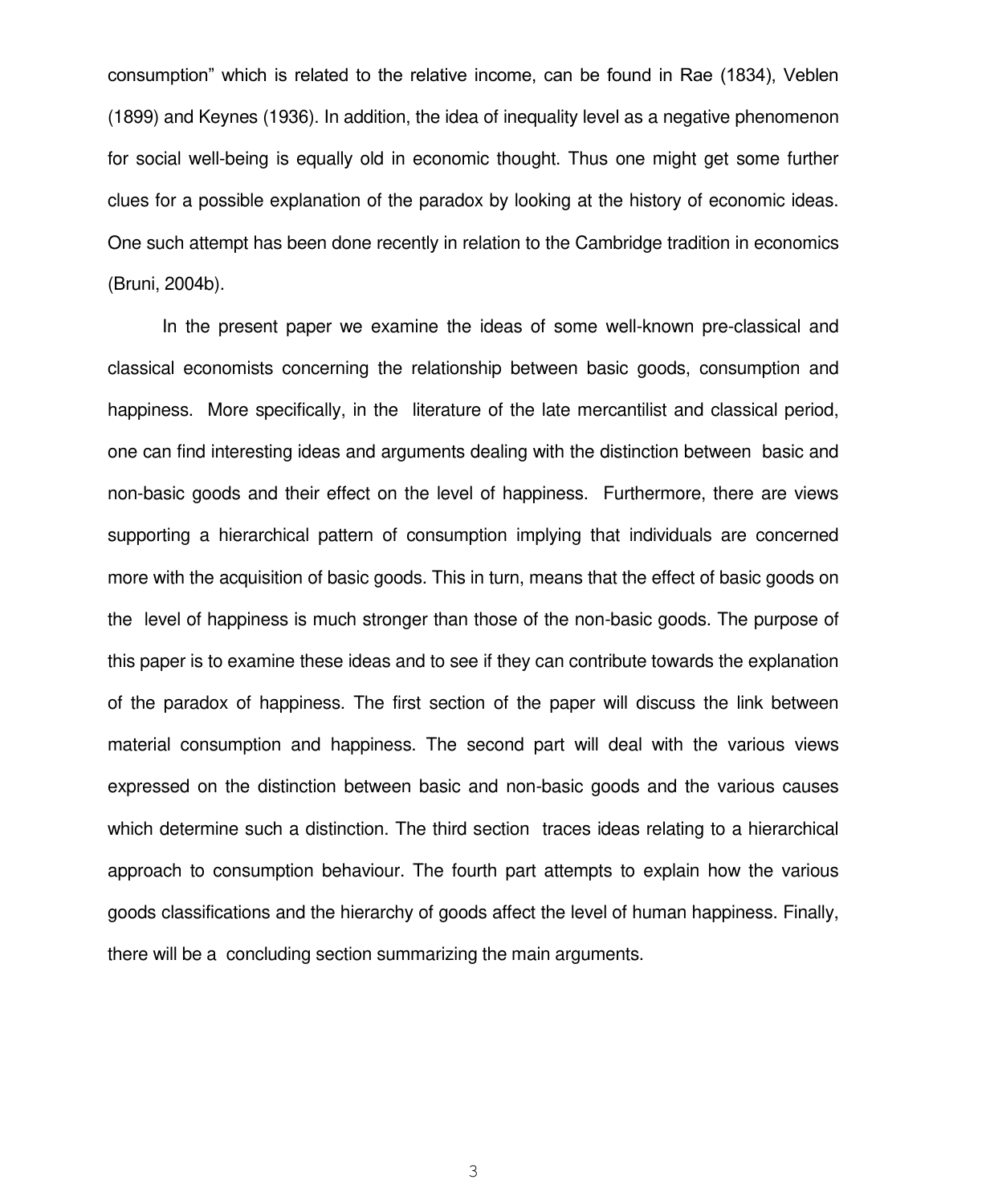consumption" which is related to the relative income, can be found in Rae (1834), Veblen (1899) and Keynes (1936). In addition, the idea of inequality level as a negative phenomenon for social well-being is equally old in economic thought. Thus one might get some further clues for a possible explanation of the paradox by looking at the history of economic ideas. One such attempt has been done recently in relation to the Cambridge tradition in economics (Bruni, 2004b).

In the present paper we examine the ideas of some well-known pre-classical and classical economists concerning the relationship between basic goods, consumption and happiness. More specifically, in the literature of the late mercantilist and classical period, one can find interesting ideas and arguments dealing with the distinction between basic and non-basic goods and their effect on the level of happiness. Furthermore, there are views supporting a hierarchical pattern of consumption implying that individuals are concerned more with the acquisition of basic goods. This in turn, means that the effect of basic goods on the level of happiness is much stronger than those of the non-basic goods. The purpose of this paper is to examine these ideas and to see if they can contribute towards the explanation of the paradox of happiness. The first section of the paper will discuss the link between material consumption and happiness. The second part will deal with the various views expressed on the distinction between basic and non-basic goods and the various causes which determine such a distinction. The third section traces ideas relating to a hierarchical approach to consumption behaviour. The fourth part attempts to explain how the various goods classifications and the hierarchy of goods affect the level of human happiness. Finally, there will be a concluding section summarizing the main arguments.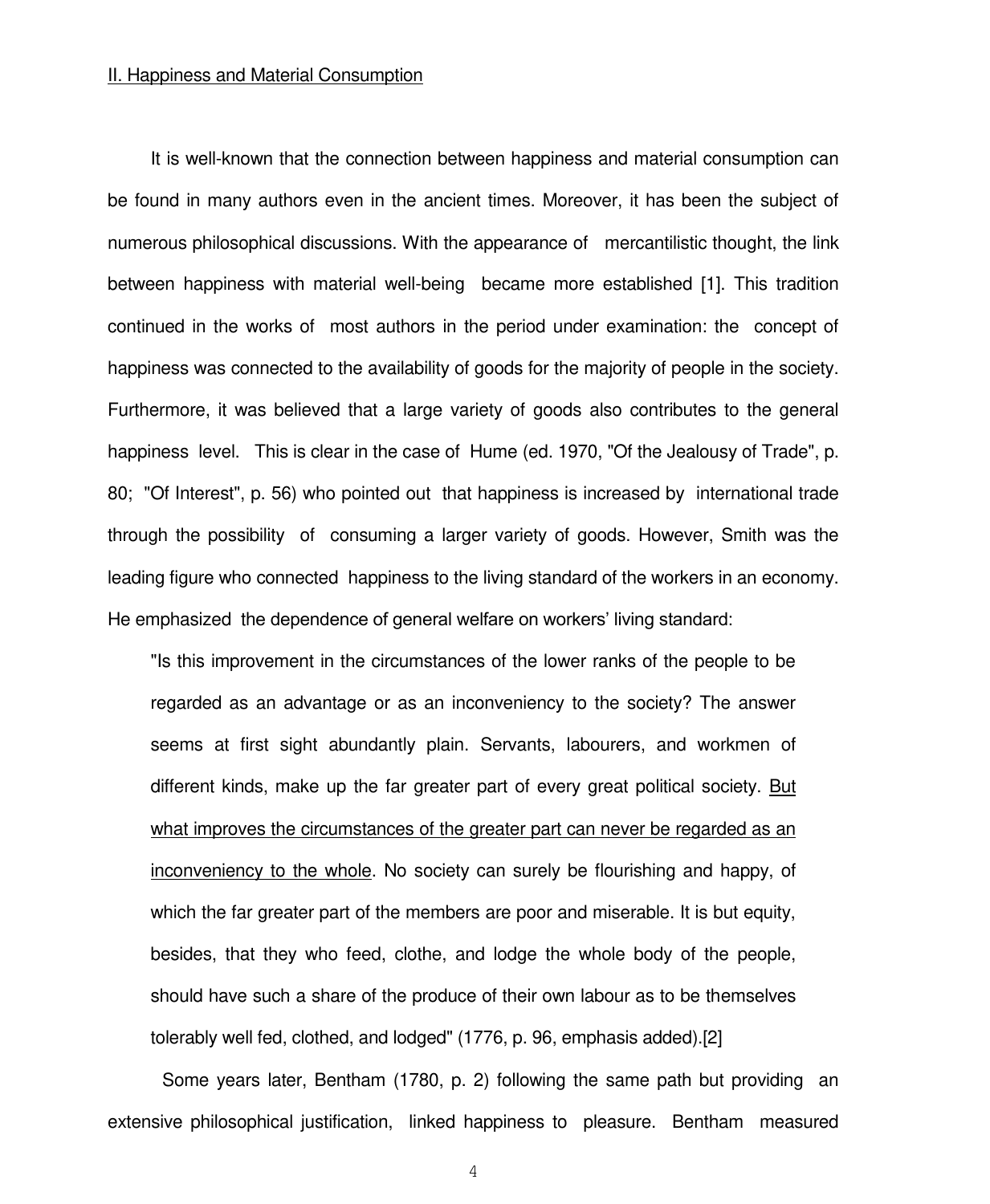#### II. Happiness and Material Consumption

It is well-known that the connection between happiness and material consumption can be found in many authors even in the ancient times. Moreover, it has been the subject of numerous philosophical discussions. With the appearance of mercantilistic thought, the link between happiness with material well-being became more established [1]. This tradition continued in the works of most authors in the period under examination: the concept of happiness was connected to the availability of goods for the majority of people in the society. Furthermore, it was believed that a large variety of goods also contributes to the general happiness level. This is clear in the case of Hume (ed. 1970, "Of the Jealousy of Trade", p. 80; "Of Interest", p. 56) who pointed out that happiness is increased by international trade through the possibility of consuming a larger variety of goods. However, Smith was the leading figure who connected happiness to the living standard of the workers in an economy. He emphasized the dependence of general welfare on workers' living standard:

"Is this improvement in the circumstances of the lower ranks of the people to be regarded as an advantage or as an inconveniency to the society? The answer seems at first sight abundantly plain. Servants, labourers, and workmen of different kinds, make up the far greater part of every great political society. But what improves the circumstances of the greater part can never be regarded as an inconveniency to the whole. No society can surely be flourishing and happy, of which the far greater part of the members are poor and miserable. It is but equity, besides, that they who feed, clothe, and lodge the whole body of the people, should have such a share of the produce of their own labour as to be themselves tolerably well fed, clothed, and lodged" (1776, p. 96, emphasis added).[2]

 Some years later, Bentham (1780, p. 2) following the same path but providing an extensive philosophical justification, linked happiness to pleasure. Bentham measured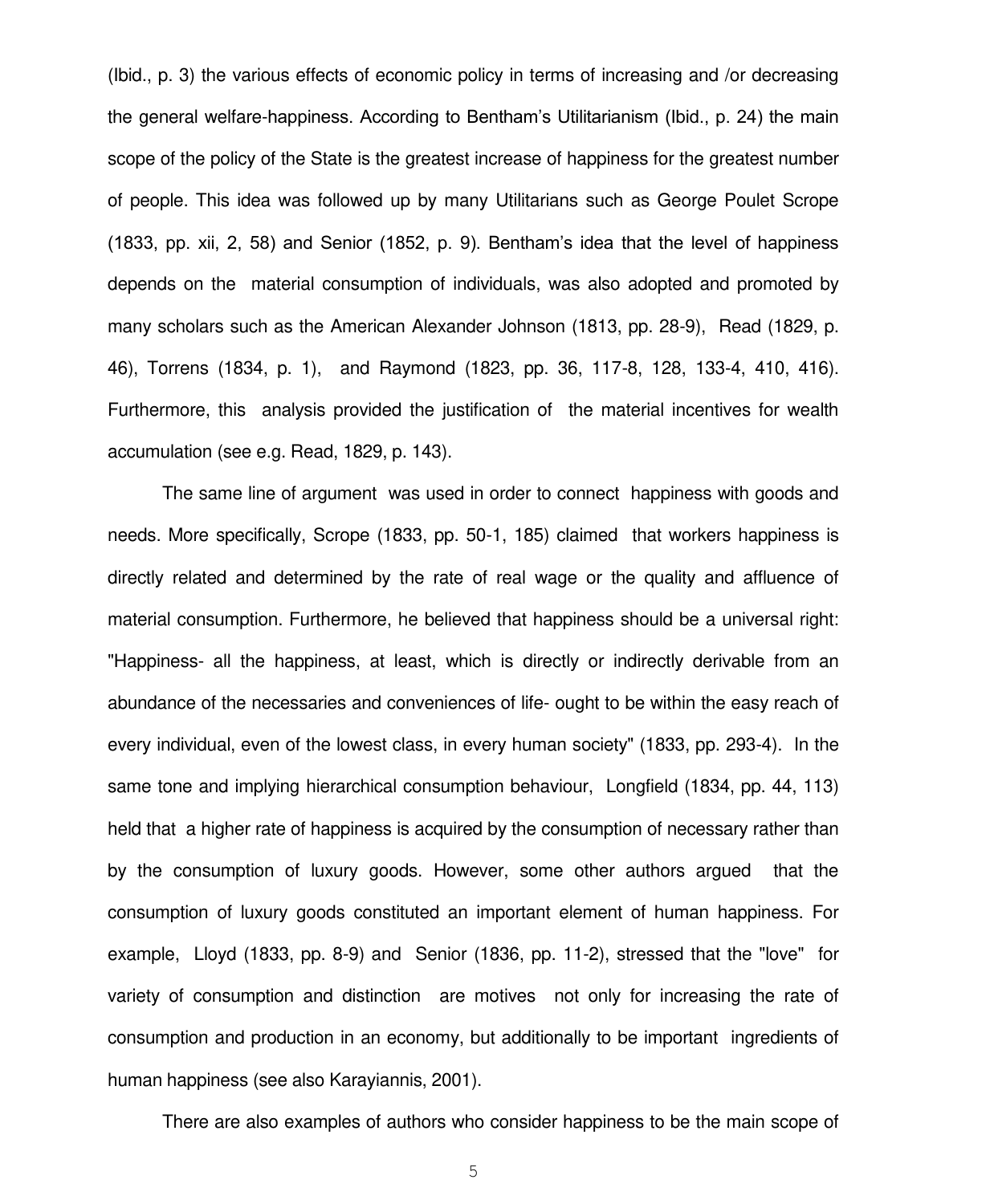(Ibid., p. 3) the various effects of economic policy in terms of increasing and /or decreasing the general welfare-happiness. According to Bentham"s Utilitarianism (Ibid., p. 24) the main scope of the policy of the State is the greatest increase of happiness for the greatest number of people. This idea was followed up by many Utilitarians such as George Poulet Scrope (1833, pp. xii, 2, 58) and Senior (1852, p. 9). Bentham"s idea that the level of happiness depends on the material consumption of individuals, was also adopted and promoted by many scholars such as the American Alexander Johnson (1813, pp. 28-9), Read (1829, p. 46), Torrens (1834, p. 1), and Raymond (1823, pp. 36, 117-8, 128, 133-4, 410, 416). Furthermore, this analysis provided the justification of the material incentives for wealth accumulation (see e.g. Read, 1829, p. 143).

 The same line of argument was used in order to connect happiness with goods and needs. More specifically, Scrope (1833, pp. 50-1, 185) claimed that workers happiness is directly related and determined by the rate of real wage or the quality and affluence of material consumption. Furthermore, he believed that happiness should be a universal right: "Happiness- all the happiness, at least, which is directly or indirectly derivable from an abundance of the necessaries and conveniences of life- ought to be within the easy reach of every individual, even of the lowest class, in every human society" (1833, pp. 293-4). In the same tone and implying hierarchical consumption behaviour, Longfield (1834, pp. 44, 113) held that a higher rate of happiness is acquired by the consumption of necessary rather than by the consumption of luxury goods. However, some other authors argued that the consumption of luxury goods constituted an important element of human happiness. For example, Lloyd (1833, pp. 8-9) and Senior (1836, pp. 11-2), stressed that the "love" for variety of consumption and distinction are motives not only for increasing the rate of consumption and production in an economy, but additionally to be important ingredients of human happiness (see also Karayiannis, 2001).

There are also examples of authors who consider happiness to be the main scope of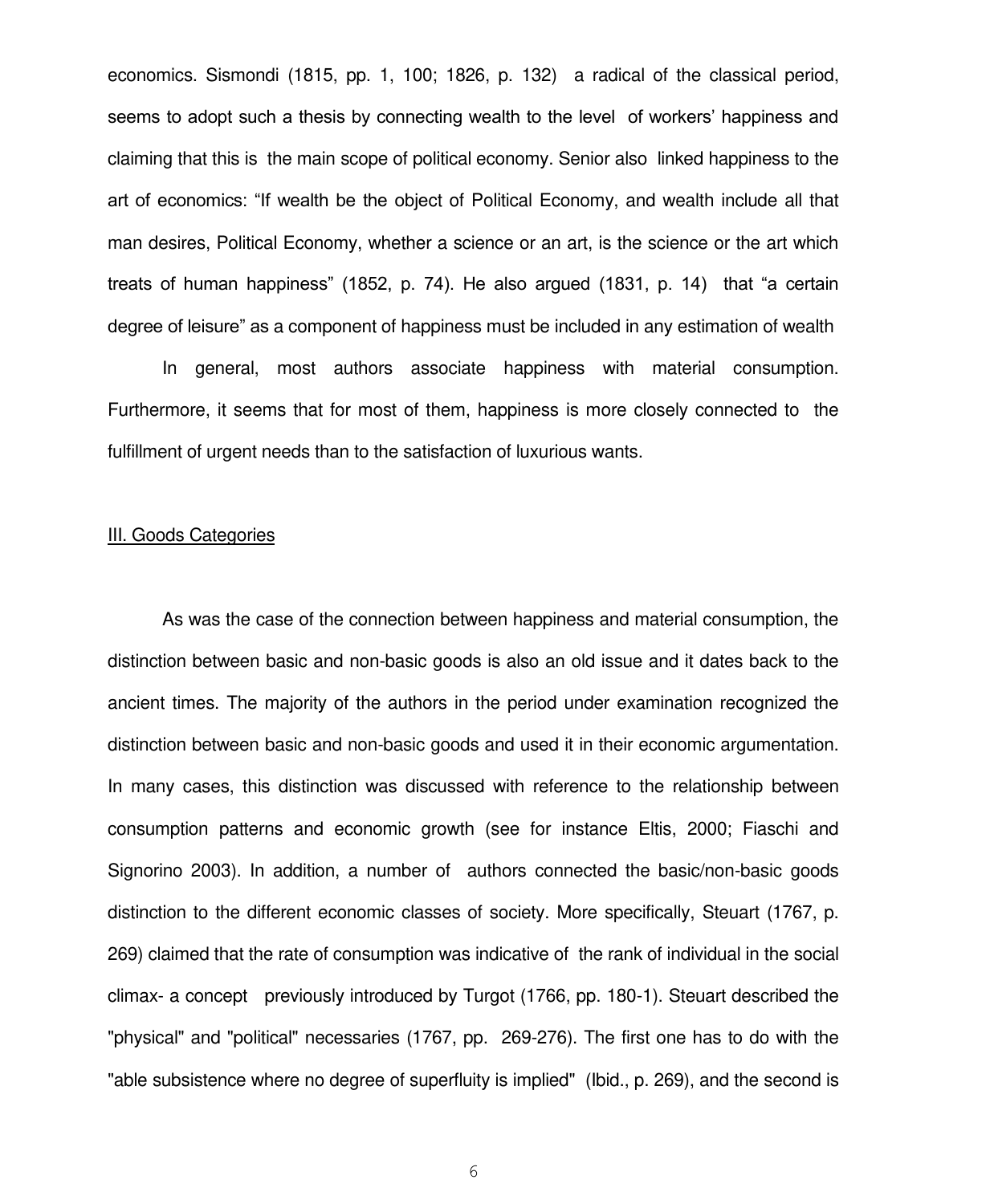economics. Sismondi (1815, pp. 1, 100; 1826, p. 132) a radical of the classical period, seems to adopt such a thesis by connecting wealth to the level of workers' happiness and claiming that this is the main scope of political economy. Senior also linked happiness to the art of economics: "If wealth be the object of Political Economy, and wealth include all that man desires, Political Economy, whether a science or an art, is the science or the art which treats of human happiness" (1852, p. 74). He also argued (1831, p. 14) that "a certain degree of leisure" as a component of happiness must be included in any estimation of wealth

 In general, most authors associate happiness with material consumption. Furthermore, it seems that for most of them, happiness is more closely connected to the fulfillment of urgent needs than to the satisfaction of luxurious wants.

#### III. Goods Categories

 As was the case of the connection between happiness and material consumption, the distinction between basic and non-basic goods is also an old issue and it dates back to the ancient times. The majority of the authors in the period under examination recognized the distinction between basic and non-basic goods and used it in their economic argumentation. In many cases, this distinction was discussed with reference to the relationship between consumption patterns and economic growth (see for instance Eltis, 2000; Fiaschi and Signorino 2003). In addition, a number of authors connected the basic/non-basic goods distinction to the different economic classes of society. More specifically, Steuart (1767, p. 269) claimed that the rate of consumption was indicative of the rank of individual in the social climax- a concept previously introduced by Turgot (1766, pp. 180-1). Steuart described the "physical" and "political" necessaries (1767, pp. 269-276). The first one has to do with the "able subsistence where no degree of superfluity is implied" (Ibid., p. 269), and the second is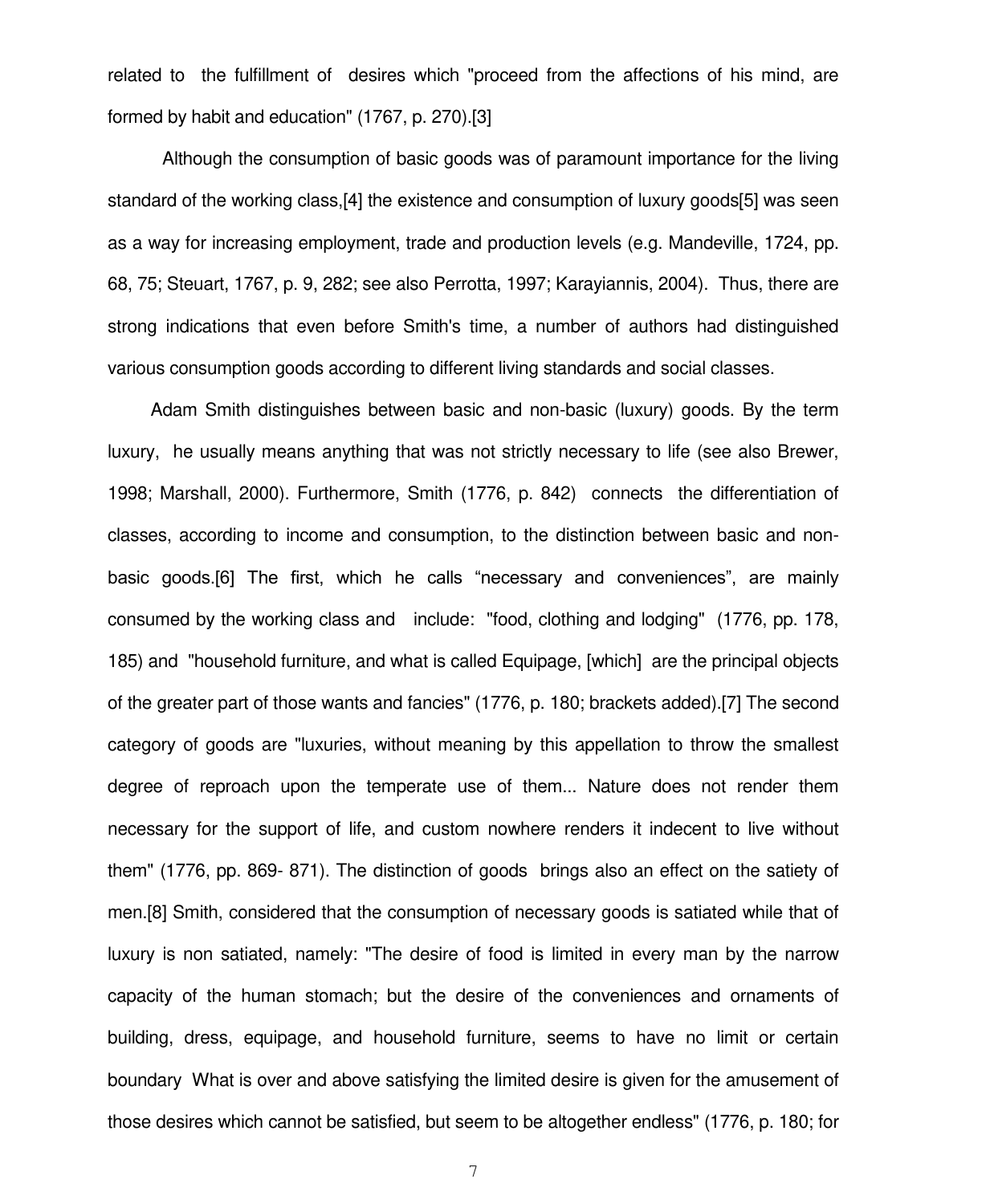related to the fulfillment of desires which "proceed from the affections of his mind, are formed by habit and education" (1767, p. 270).[3]

 Although the consumption of basic goods was of paramount importance for the living standard of the working class,[4] the existence and consumption of luxury goods[5] was seen as a way for increasing employment, trade and production levels (e.g. Mandeville, 1724, pp. 68, 75; Steuart, 1767, p. 9, 282; see also Perrotta, 1997; Karayiannis, 2004). Thus, there are strong indications that even before Smith's time, a number of authors had distinguished various consumption goods according to different living standards and social classes.

Adam Smith distinguishes between basic and non-basic (luxury) goods. By the term luxury, he usually means anything that was not strictly necessary to life (see also Brewer, 1998; Marshall, 2000). Furthermore, Smith (1776, p. 842) connects the differentiation of classes, according to income and consumption, to the distinction between basic and nonbasic goods.[6] The first, which he calls "necessary and conveniences", are mainly consumed by the working class and include: "food, clothing and lodging" (1776, pp. 178, 185) and "household furniture, and what is called Equipage, [which] are the principal objects of the greater part of those wants and fancies" (1776, p. 180; brackets added).[7] The second category of goods are "luxuries, without meaning by this appellation to throw the smallest degree of reproach upon the temperate use of them... Nature does not render them necessary for the support of life, and custom nowhere renders it indecent to live without them" (1776, pp. 869- 871). The distinction of goods brings also an effect on the satiety of men.[8] Smith, considered that the consumption of necessary goods is satiated while that of luxury is non satiated, namely: "The desire of food is limited in every man by the narrow capacity of the human stomach; but the desire of the conveniences and ornaments of building, dress, equipage, and household furniture, seems to have no limit or certain boundary What is over and above satisfying the limited desire is given for the amusement of those desires which cannot be satisfied, but seem to be altogether endless" (1776, p. 180; for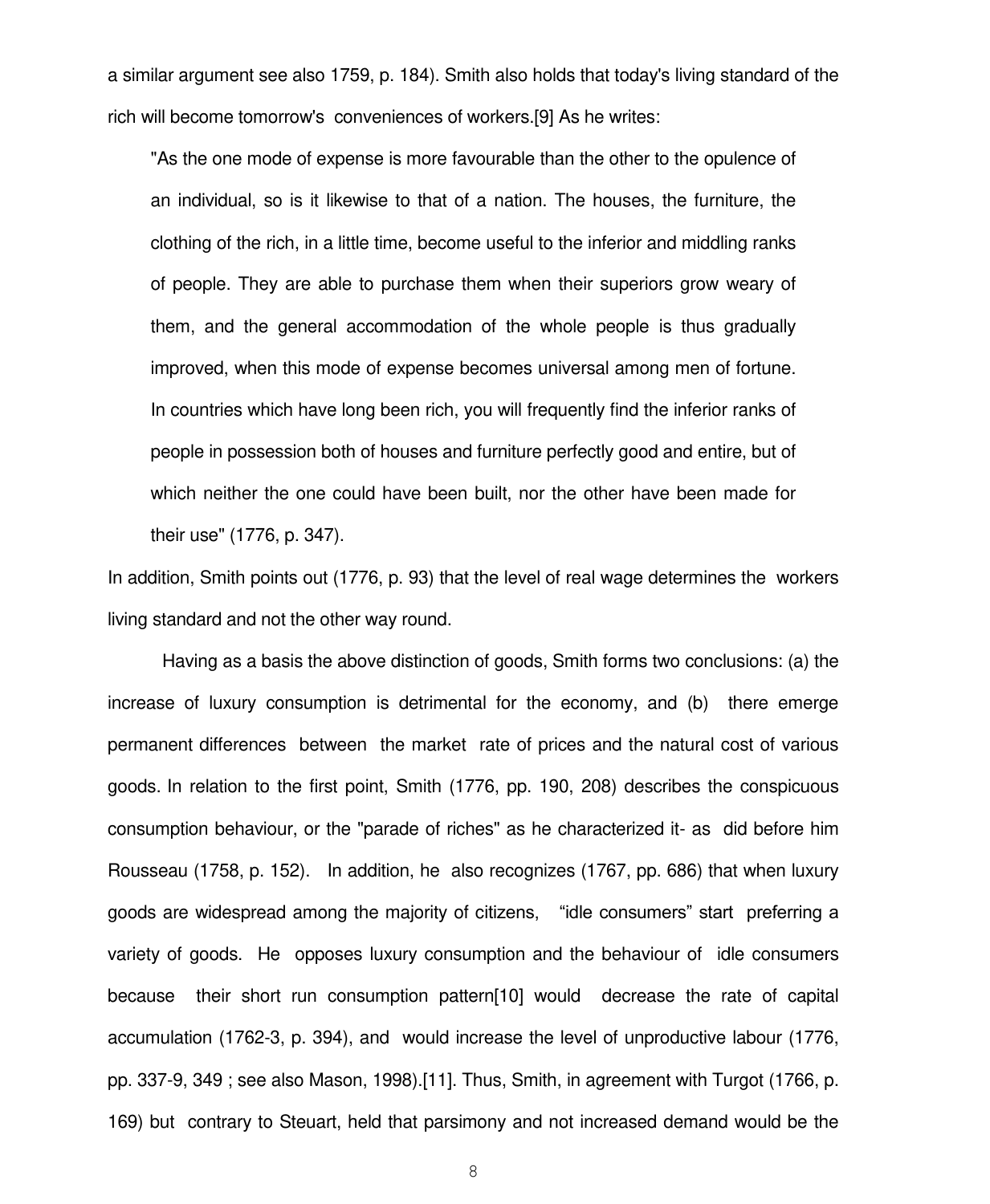a similar argument see also 1759, p. 184). Smith also holds that today's living standard of the rich will become tomorrow's conveniences of workers.[9] As he writes:

"As the one mode of expense is more favourable than the other to the opulence of an individual, so is it likewise to that of a nation. The houses, the furniture, the clothing of the rich, in a little time, become useful to the inferior and middling ranks of people. They are able to purchase them when their superiors grow weary of them, and the general accommodation of the whole people is thus gradually improved, when this mode of expense becomes universal among men of fortune. In countries which have long been rich, you will frequently find the inferior ranks of people in possession both of houses and furniture perfectly good and entire, but of which neither the one could have been built, nor the other have been made for their use" (1776, p. 347).

In addition, Smith points out (1776, p. 93) that the level of real wage determines the workers living standard and not the other way round.

 Having as a basis the above distinction of goods, Smith forms two conclusions: (a) the increase of luxury consumption is detrimental for the economy, and (b) there emerge permanent differences between the market rate of prices and the natural cost of various goods. In relation to the first point, Smith (1776, pp. 190, 208) describes the conspicuous consumption behaviour, or the "parade of riches" as he characterized it- as did before him Rousseau (1758, p. 152). In addition, he also recognizes (1767, pp. 686) that when luxury goods are widespread among the majority of citizens, "idle consumers" start preferring a variety of goods. He opposes luxury consumption and the behaviour of idle consumers because their short run consumption pattern[10] would decrease the rate of capital accumulation (1762-3, p. 394), and would increase the level of unproductive labour (1776, pp. 337-9, 349 ; see also Mason, 1998).[11]. Thus, Smith, in agreement with Turgot (1766, p. 169) but contrary to Steuart, held that parsimony and not increased demand would be the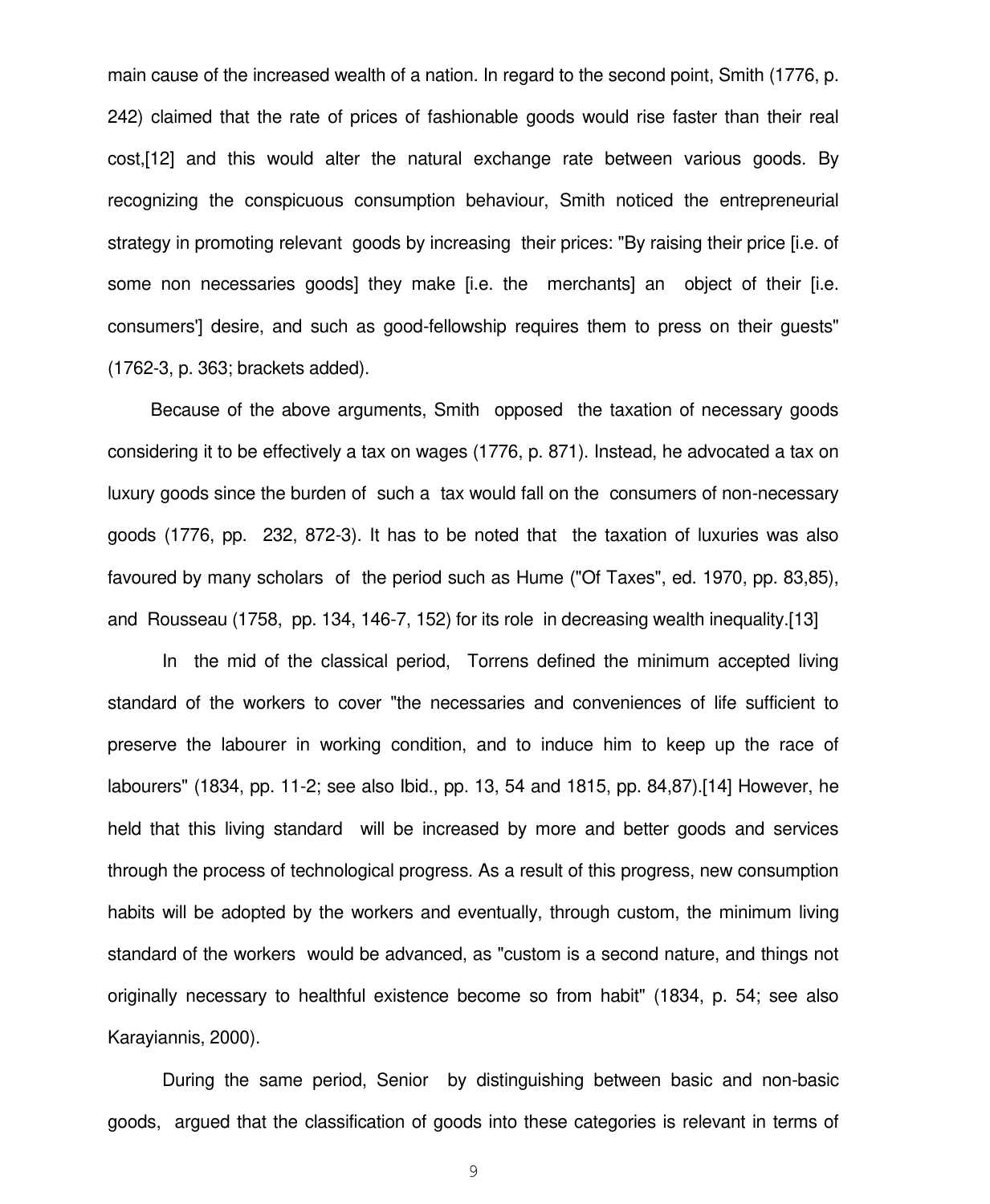main cause of the increased wealth of a nation. In regard to the second point, Smith (1776, p. 242) claimed that the rate of prices of fashionable goods would rise faster than their real cost,[12] and this would alter the natural exchange rate between various goods. By recognizing the conspicuous consumption behaviour, Smith noticed the entrepreneurial strategy in promoting relevant goods by increasing their prices: "By raising their price [i.e. of some non necessaries goods] they make [i.e. the merchants] an object of their [i.e. consumers'] desire, and such as good-fellowship requires them to press on their guests" (1762-3, p. 363; brackets added).

Because of the above arguments, Smith opposed the taxation of necessary goods considering it to be effectively a tax on wages (1776, p. 871). Instead, he advocated a tax on luxury goods since the burden of such a tax would fall on the consumers of non-necessary goods (1776, pp. 232, 872-3). It has to be noted that the taxation of luxuries was also favoured by many scholars of the period such as Hume ("Of Taxes", ed. 1970, pp. 83,85), and Rousseau (1758, pp. 134, 146-7, 152) for its role in decreasing wealth inequality.[13]

 In the mid of the classical period, Torrens defined the minimum accepted living standard of the workers to cover "the necessaries and conveniences of life sufficient to preserve the labourer in working condition, and to induce him to keep up the race of labourers" (1834, pp. 11-2; see also Ibid., pp. 13, 54 and 1815, pp. 84,87).[14] However, he held that this living standard will be increased by more and better goods and services through the process of technological progress. As a result of this progress, new consumption habits will be adopted by the workers and eventually, through custom, the minimum living standard of the workers would be advanced, as "custom is a second nature, and things not originally necessary to healthful existence become so from habit" (1834, p. 54; see also Karayiannis, 2000).

 During the same period, Senior by distinguishing between basic and non-basic goods, argued that the classification of goods into these categories is relevant in terms of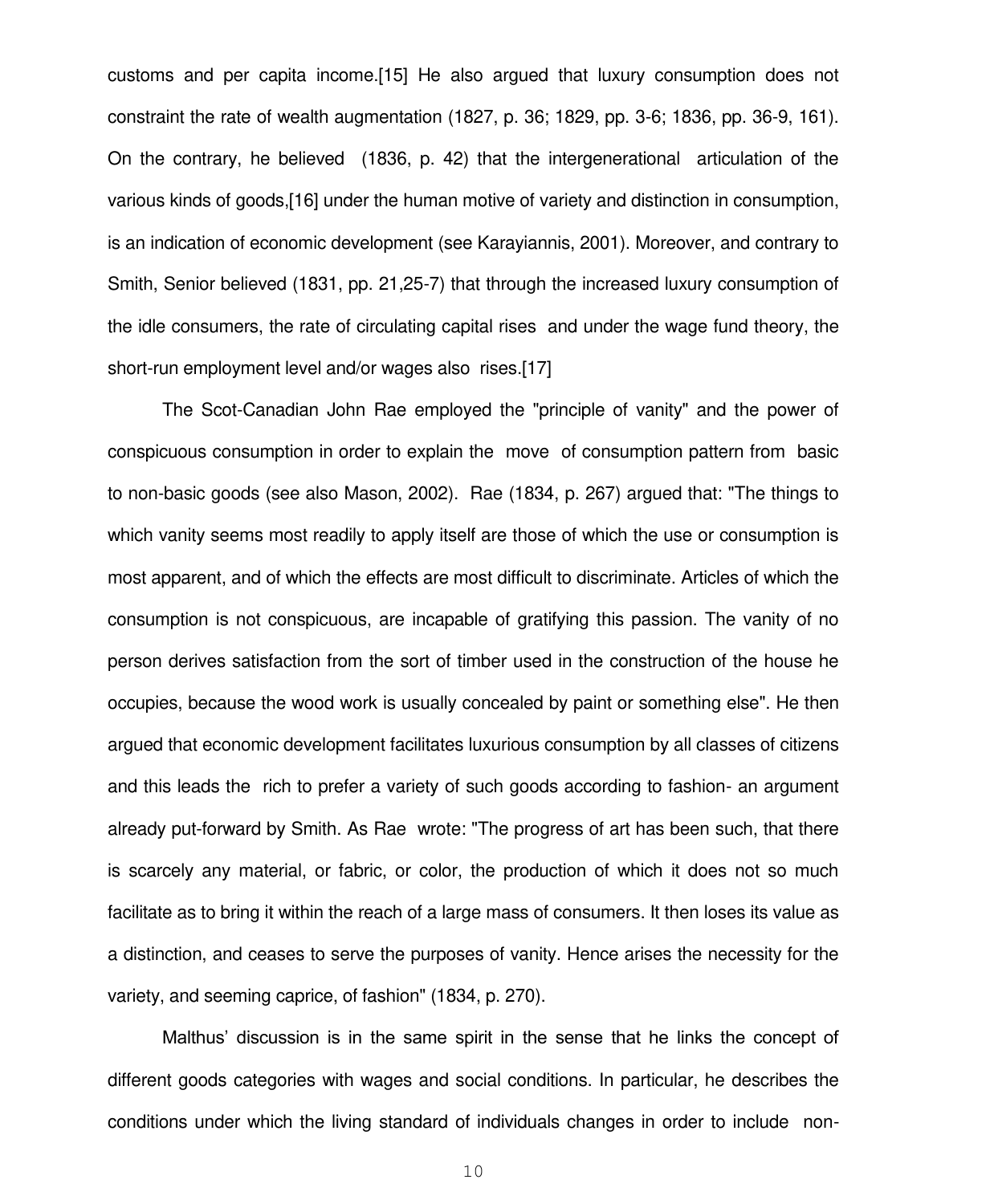customs and per capita income.[15] He also argued that luxury consumption does not constraint the rate of wealth augmentation (1827, p. 36; 1829, pp. 3-6; 1836, pp. 36-9, 161). On the contrary, he believed (1836, p. 42) that the intergenerational articulation of the various kinds of goods,[16] under the human motive of variety and distinction in consumption, is an indication of economic development (see Karayiannis, 2001). Moreover, and contrary to Smith, Senior believed (1831, pp. 21,25-7) that through the increased luxury consumption of the idle consumers, the rate of circulating capital rises and under the wage fund theory, the short-run employment level and/or wages also rises.[17]

 The Scot-Canadian John Rae employed the "principle of vanity" and the power of conspicuous consumption in order to explain the move of consumption pattern from basic to non-basic goods (see also Mason, 2002). Rae (1834, p. 267) argued that: "The things to which vanity seems most readily to apply itself are those of which the use or consumption is most apparent, and of which the effects are most difficult to discriminate. Articles of which the consumption is not conspicuous, are incapable of gratifying this passion. The vanity of no person derives satisfaction from the sort of timber used in the construction of the house he occupies, because the wood work is usually concealed by paint or something else". He then argued that economic development facilitates luxurious consumption by all classes of citizens and this leads the rich to prefer a variety of such goods according to fashion- an argument already put-forward by Smith. As Rae wrote: "The progress of art has been such, that there is scarcely any material, or fabric, or color, the production of which it does not so much facilitate as to bring it within the reach of a large mass of consumers. It then loses its value as a distinction, and ceases to serve the purposes of vanity. Hence arises the necessity for the variety, and seeming caprice, of fashion" (1834, p. 270).

Malthus" discussion is in the same spirit in the sense that he links the concept of different goods categories with wages and social conditions. In particular, he describes the conditions under which the living standard of individuals changes in order to include non-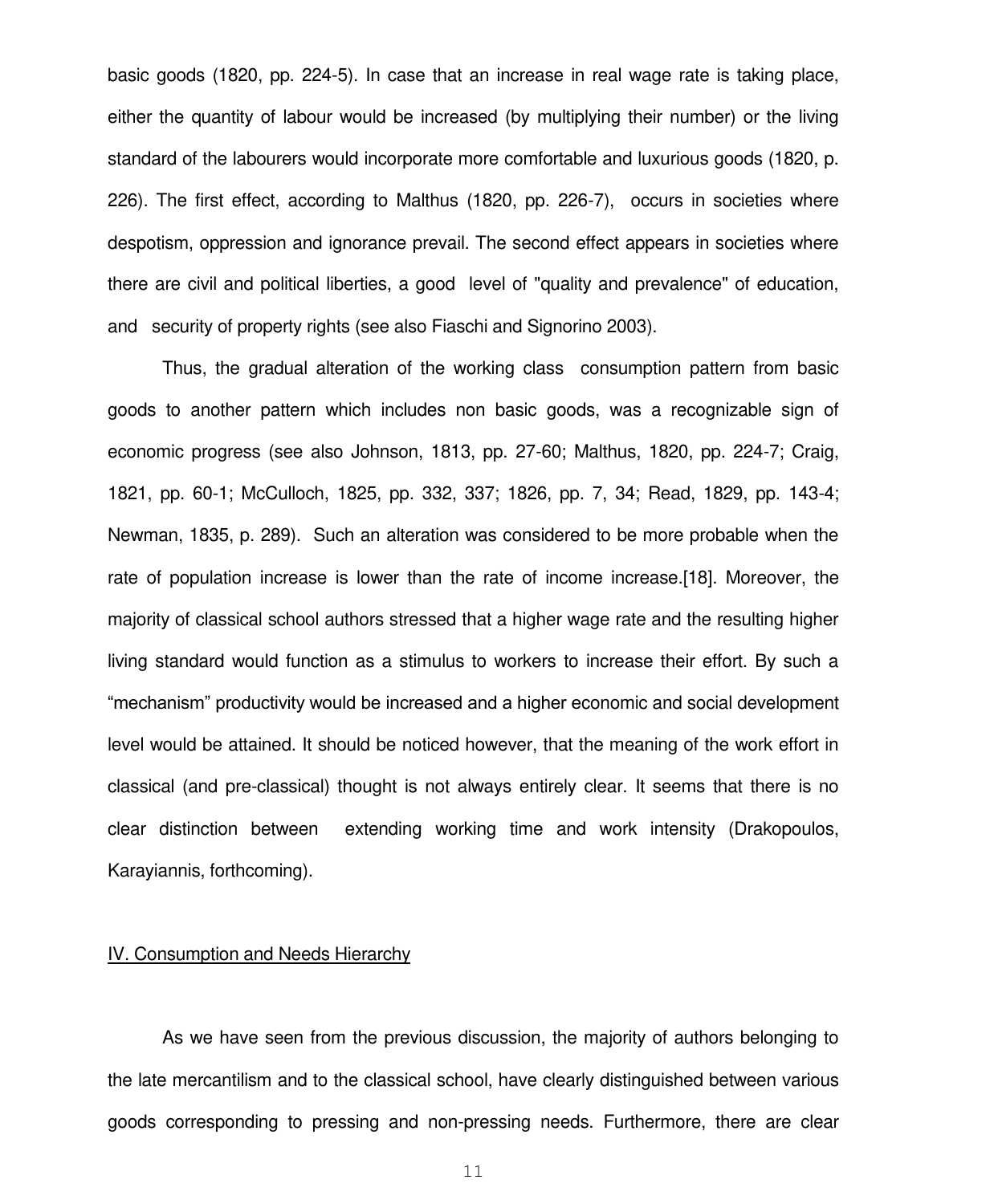basic goods (1820, pp. 224-5). In case that an increase in real wage rate is taking place, either the quantity of labour would be increased (by multiplying their number) or the living standard of the labourers would incorporate more comfortable and luxurious goods (1820, p. 226). The first effect, according to Malthus (1820, pp. 226-7), occurs in societies where despotism, oppression and ignorance prevail. The second effect appears in societies where there are civil and political liberties, a good level of "quality and prevalence" of education, and security of property rights (see also Fiaschi and Signorino 2003).

Thus, the gradual alteration of the working class consumption pattern from basic goods to another pattern which includes non basic goods, was a recognizable sign of economic progress (see also Johnson, 1813, pp. 27-60; Malthus, 1820, pp. 224-7; Craig, 1821, pp. 60-1; McCulloch, 1825, pp. 332, 337; 1826, pp. 7, 34; Read, 1829, pp. 143-4; Newman, 1835, p. 289). Such an alteration was considered to be more probable when the rate of population increase is lower than the rate of income increase.[18]. Moreover, the majority of classical school authors stressed that a higher wage rate and the resulting higher living standard would function as a stimulus to workers to increase their effort. By such a "mechanism" productivity would be increased and a higher economic and social development level would be attained. It should be noticed however, that the meaning of the work effort in classical (and pre-classical) thought is not always entirely clear. It seems that there is no clear distinction between extending working time and work intensity (Drakopoulos, Karayiannis, forthcoming).

#### IV. Consumption and Needs Hierarchy

 As we have seen from the previous discussion, the majority of authors belonging to the late mercantilism and to the classical school, have clearly distinguished between various goods corresponding to pressing and non-pressing needs. Furthermore, there are clear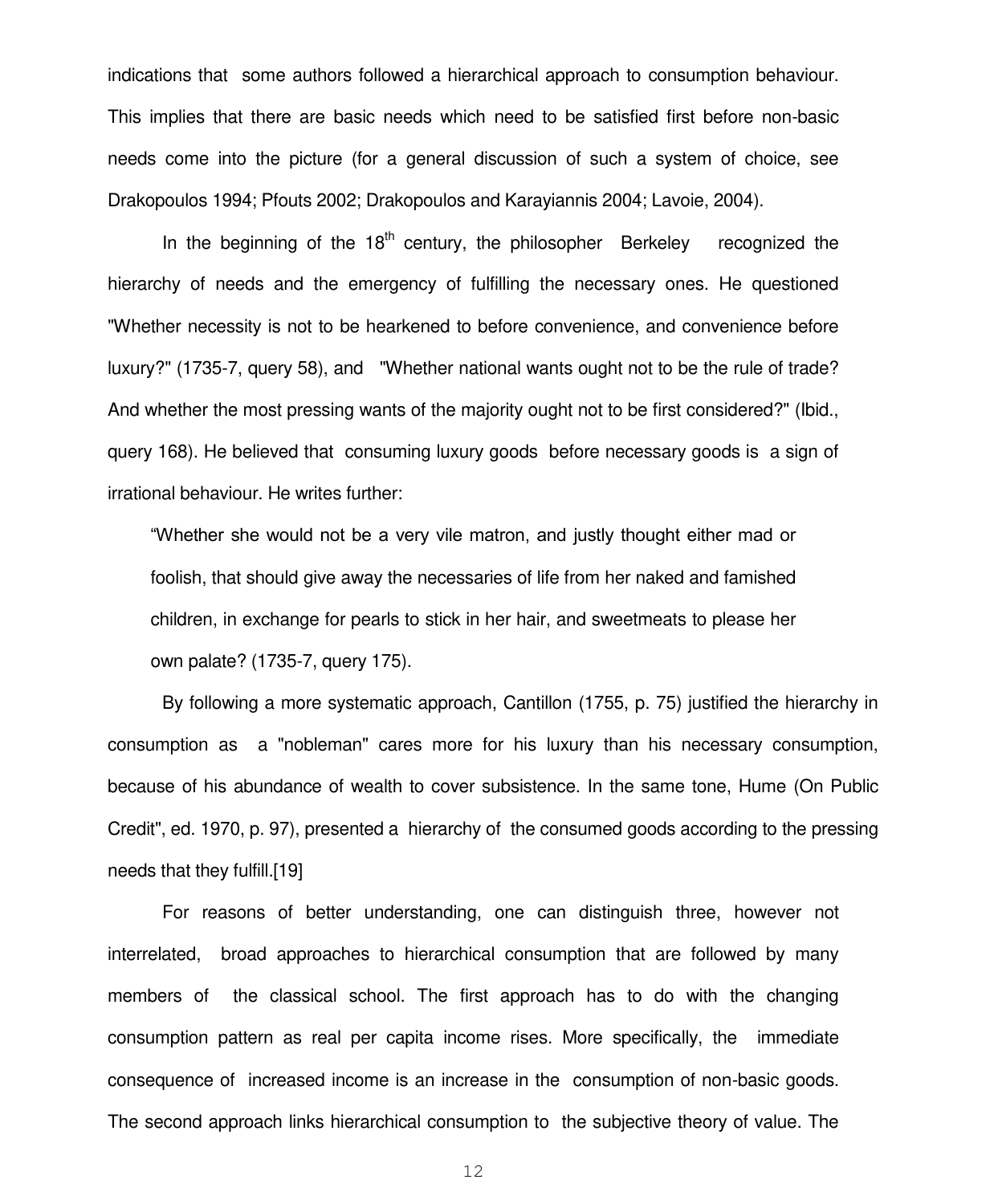indications that some authors followed a hierarchical approach to consumption behaviour. This implies that there are basic needs which need to be satisfied first before non-basic needs come into the picture (for a general discussion of such a system of choice, see Drakopoulos 1994; Pfouts 2002; Drakopoulos and Karayiannis 2004; Lavoie, 2004).

In the beginning of the  $18<sup>th</sup>$  century, the philosopher Berkeley recognized the hierarchy of needs and the emergency of fulfilling the necessary ones. He questioned "Whether necessity is not to be hearkened to before convenience, and convenience before luxury?" (1735-7, query 58), and "Whether national wants ought not to be the rule of trade? And whether the most pressing wants of the majority ought not to be first considered?" (Ibid., query 168). He believed that consuming luxury goods before necessary goods is a sign of irrational behaviour. He writes further:

"Whether she would not be a very vile matron, and justly thought either mad or foolish, that should give away the necessaries of life from her naked and famished children, in exchange for pearls to stick in her hair, and sweetmeats to please her own palate? (1735-7, query 175).

By following a more systematic approach, Cantillon (1755, p. 75) justified the hierarchy in consumption as a "nobleman" cares more for his luxury than his necessary consumption, because of his abundance of wealth to cover subsistence. In the same tone, Hume (On Public Credit", ed. 1970, p. 97), presented a hierarchy of the consumed goods according to the pressing needs that they fulfill.[19]

 For reasons of better understanding, one can distinguish three, however not interrelated, broad approaches to hierarchical consumption that are followed by many members of the classical school. The first approach has to do with the changing consumption pattern as real per capita income rises. More specifically, the immediate consequence of increased income is an increase in the consumption of non-basic goods. The second approach links hierarchical consumption to the subjective theory of value. The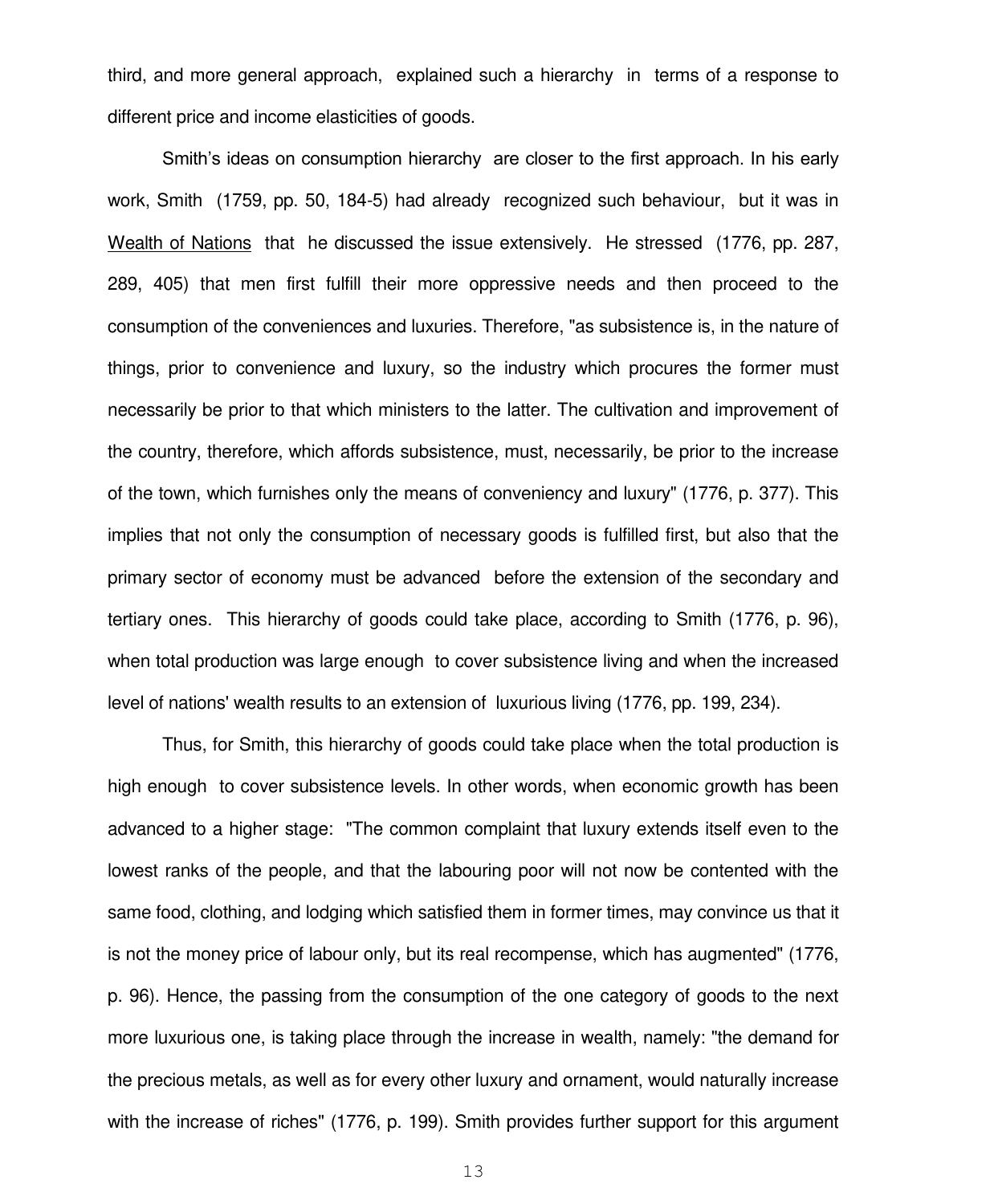third, and more general approach, explained such a hierarchy in terms of a response to different price and income elasticities of goods.

Smith's ideas on consumption hierarchy are closer to the first approach. In his early work, Smith (1759, pp. 50, 184-5) had already recognized such behaviour, but it was in Wealth of Nations that he discussed the issue extensively. He stressed (1776, pp. 287, 289, 405) that men first fulfill their more oppressive needs and then proceed to the consumption of the conveniences and luxuries. Therefore, "as subsistence is, in the nature of things, prior to convenience and luxury, so the industry which procures the former must necessarily be prior to that which ministers to the latter. The cultivation and improvement of the country, therefore, which affords subsistence, must, necessarily, be prior to the increase of the town, which furnishes only the means of conveniency and luxury" (1776, p. 377). This implies that not only the consumption of necessary goods is fulfilled first, but also that the primary sector of economy must be advanced before the extension of the secondary and tertiary ones. This hierarchy of goods could take place, according to Smith (1776, p. 96), when total production was large enough to cover subsistence living and when the increased level of nations' wealth results to an extension of luxurious living (1776, pp. 199, 234).

Thus, for Smith, this hierarchy of goods could take place when the total production is high enough to cover subsistence levels. In other words, when economic growth has been advanced to a higher stage: "The common complaint that luxury extends itself even to the lowest ranks of the people, and that the labouring poor will not now be contented with the same food, clothing, and lodging which satisfied them in former times, may convince us that it is not the money price of labour only, but its real recompense, which has augmented" (1776, p. 96). Hence, the passing from the consumption of the one category of goods to the next more luxurious one, is taking place through the increase in wealth, namely: "the demand for the precious metals, as well as for every other luxury and ornament, would naturally increase with the increase of riches" (1776, p. 199). Smith provides further support for this argument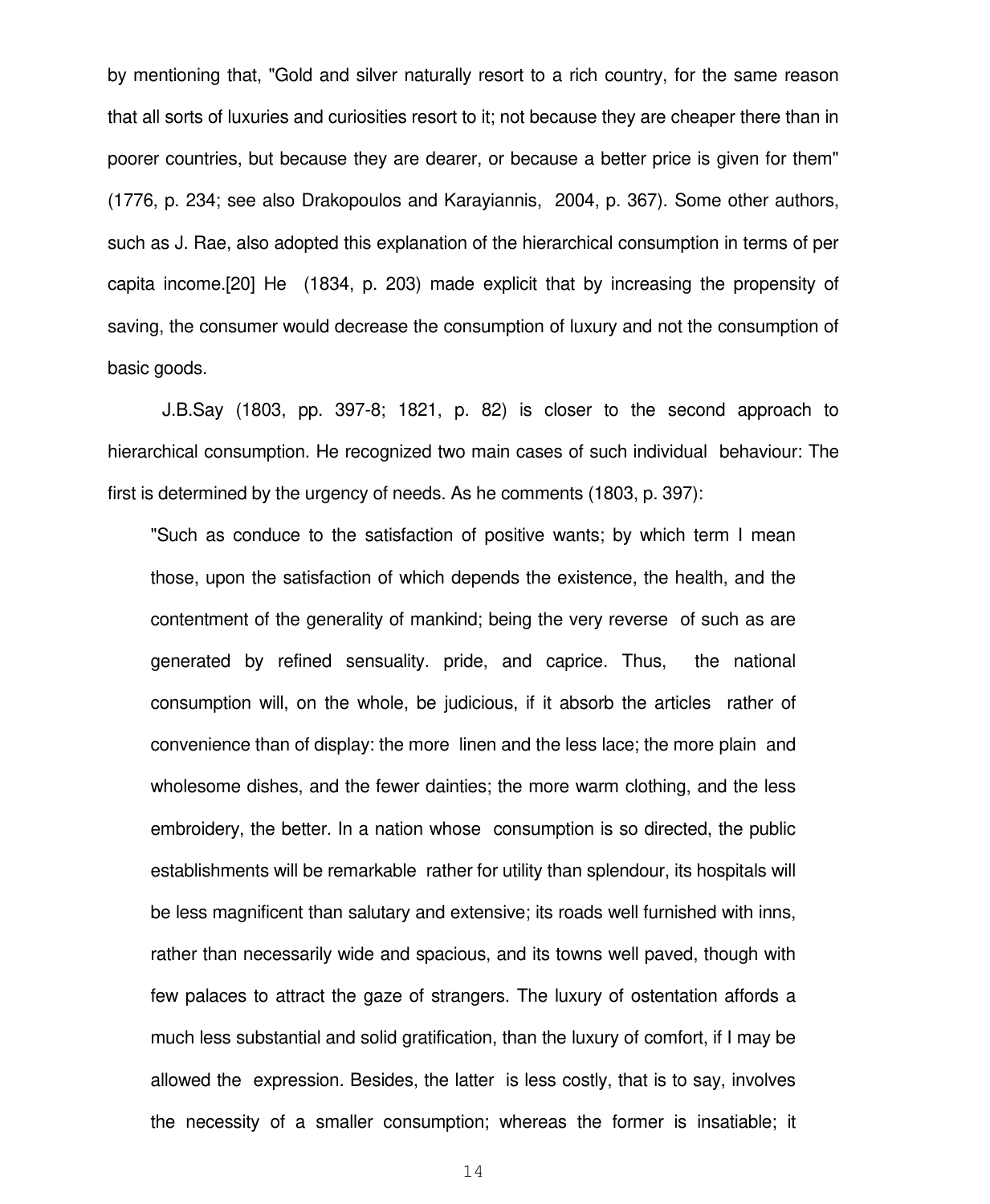by mentioning that, "Gold and silver naturally resort to a rich country, for the same reason that all sorts of luxuries and curiosities resort to it; not because they are cheaper there than in poorer countries, but because they are dearer, or because a better price is given for them" (1776, p. 234; see also Drakopoulos and Karayiannis, 2004, p. 367). Some other authors, such as J. Rae, also adopted this explanation of the hierarchical consumption in terms of per capita income.[20] He (1834, p. 203) made explicit that by increasing the propensity of saving, the consumer would decrease the consumption of luxury and not the consumption of basic goods.

 J.B.Say (1803, pp. 397-8; 1821, p. 82) is closer to the second approach to hierarchical consumption. He recognized two main cases of such individual behaviour: The first is determined by the urgency of needs. As he comments (1803, p. 397):

"Such as conduce to the satisfaction of positive wants; by which term I mean those, upon the satisfaction of which depends the existence, the health, and the contentment of the generality of mankind; being the very reverse of such as are generated by refined sensuality. pride, and caprice. Thus, the national consumption will, on the whole, be judicious, if it absorb the articles rather of convenience than of display: the more linen and the less lace; the more plain and wholesome dishes, and the fewer dainties; the more warm clothing, and the less embroidery, the better. In a nation whose consumption is so directed, the public establishments will be remarkable rather for utility than splendour, its hospitals will be less magnificent than salutary and extensive; its roads well furnished with inns, rather than necessarily wide and spacious, and its towns well paved, though with few palaces to attract the gaze of strangers. The luxury of ostentation affords a much less substantial and solid gratification, than the luxury of comfort, if I may be allowed the expression. Besides, the latter is less costly, that is to say, involves the necessity of a smaller consumption; whereas the former is insatiable; it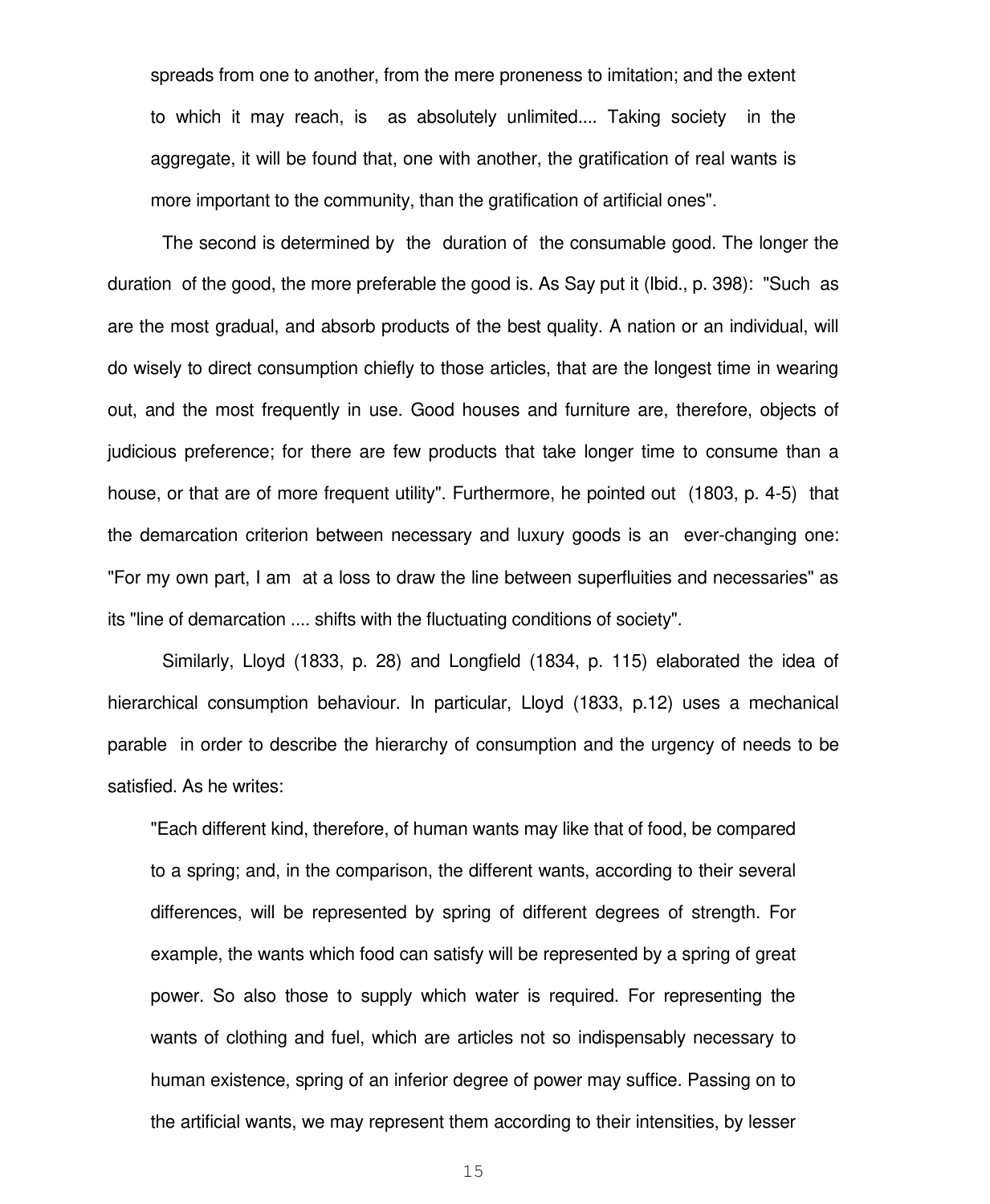spreads from one to another, from the mere proneness to imitation; and the extent to which it may reach, is as absolutely unlimited.... Taking society in the aggregate, it will be found that, one with another, the gratification of real wants is more important to the community, than the gratification of artificial ones".

 The second is determined by the duration of the consumable good. The longer the duration of the good, the more preferable the good is. As Say put it (Ibid., p. 398): "Such as are the most gradual, and absorb products of the best quality. A nation or an individual, will do wisely to direct consumption chiefly to those articles, that are the longest time in wearing out, and the most frequently in use. Good houses and furniture are, therefore, objects of judicious preference; for there are few products that take longer time to consume than a house, or that are of more frequent utility". Furthermore, he pointed out (1803, p. 4-5) that the demarcation criterion between necessary and luxury goods is an ever-changing one: "For my own part, I am at a loss to draw the line between superfluities and necessaries" as its "line of demarcation .... shifts with the fluctuating conditions of society".

 Similarly, Lloyd (1833, p. 28) and Longfield (1834, p. 115) elaborated the idea of hierarchical consumption behaviour. In particular, Lloyd (1833, p.12) uses a mechanical parable in order to describe the hierarchy of consumption and the urgency of needs to be satisfied. As he writes:

"Each different kind, therefore, of human wants may like that of food, be compared to a spring; and, in the comparison, the different wants, according to their several differences, will be represented by spring of different degrees of strength. For example, the wants which food can satisfy will be represented by a spring of great power. So also those to supply which water is required. For representing the wants of clothing and fuel, which are articles not so indispensably necessary to human existence, spring of an inferior degree of power may suffice. Passing on to the artificial wants, we may represent them according to their intensities, by lesser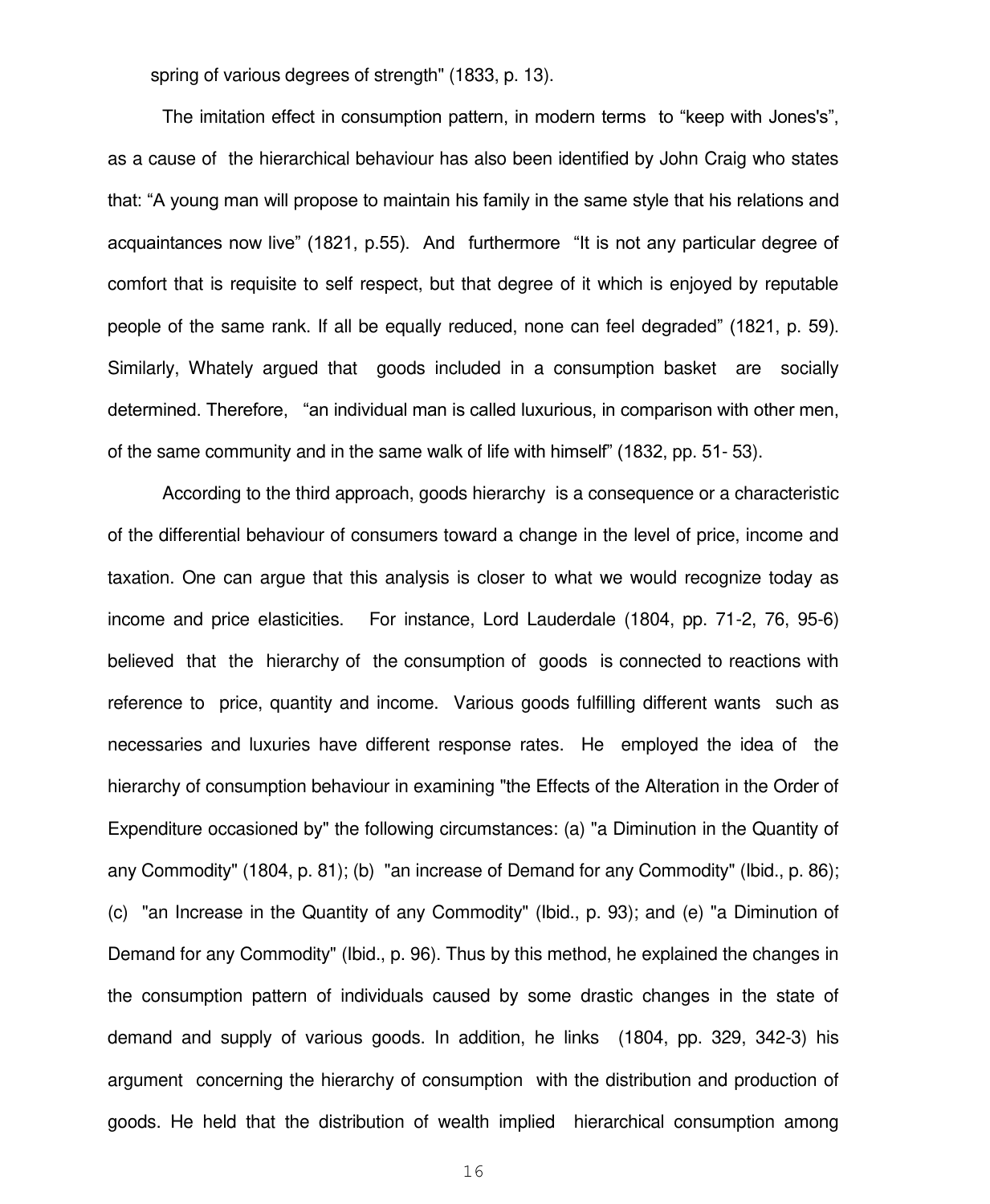spring of various degrees of strength" (1833, p. 13).

 The imitation effect in consumption pattern, in modern terms to "keep with Jones's", as a cause of the hierarchical behaviour has also been identified by John Craig who states that: "A young man will propose to maintain his family in the same style that his relations and acquaintances now live" (1821, p.55). And furthermore "It is not any particular degree of comfort that is requisite to self respect, but that degree of it which is enjoyed by reputable people of the same rank. If all be equally reduced, none can feel degraded" (1821, p. 59). Similarly, Whately argued that goods included in a consumption basket are socially determined. Therefore, "an individual man is called luxurious, in comparison with other men, of the same community and in the same walk of life with himself" (1832, pp. 51- 53).

 According to the third approach, goods hierarchy is a consequence or a characteristic of the differential behaviour of consumers toward a change in the level of price, income and taxation. One can argue that this analysis is closer to what we would recognize today as income and price elasticities. For instance, Lord Lauderdale (1804, pp. 71-2, 76, 95-6) believed that the hierarchy of the consumption of goods is connected to reactions with reference to price, quantity and income. Various goods fulfilling different wants such as necessaries and luxuries have different response rates. He employed the idea of the hierarchy of consumption behaviour in examining "the Effects of the Alteration in the Order of Expenditure occasioned by" the following circumstances: (a) "a Diminution in the Quantity of any Commodity" (1804, p. 81); (b) "an increase of Demand for any Commodity" (Ibid., p. 86); (c) "an Increase in the Quantity of any Commodity" (Ibid., p. 93); and (e) "a Diminution of Demand for any Commodity" (Ibid., p. 96). Thus by this method, he explained the changes in the consumption pattern of individuals caused by some drastic changes in the state of demand and supply of various goods. In addition, he links (1804, pp. 329, 342-3) his argument concerning the hierarchy of consumption with the distribution and production of goods. He held that the distribution of wealth implied hierarchical consumption among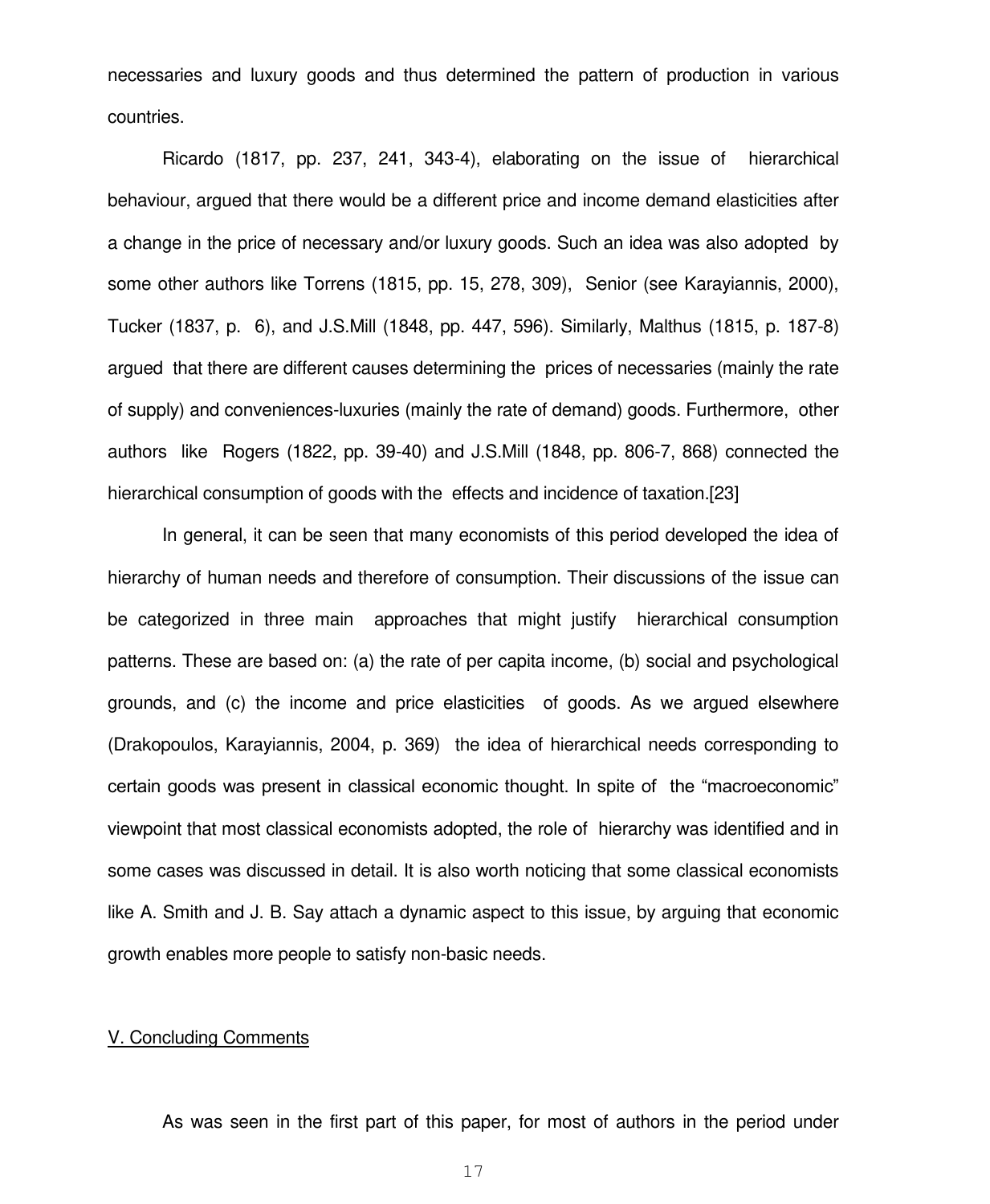necessaries and luxury goods and thus determined the pattern of production in various countries.

 Ricardo (1817, pp. 237, 241, 343-4), elaborating on the issue of hierarchical behaviour, argued that there would be a different price and income demand elasticities after a change in the price of necessary and/or luxury goods. Such an idea was also adopted by some other authors like Torrens (1815, pp. 15, 278, 309), Senior (see Karayiannis, 2000), Tucker (1837, p. 6), and J.S.Mill (1848, pp. 447, 596). Similarly, Malthus (1815, p. 187-8) argued that there are different causes determining the prices of necessaries (mainly the rate of supply) and conveniences-luxuries (mainly the rate of demand) goods. Furthermore, other authors like Rogers (1822, pp. 39-40) and J.S.Mill (1848, pp. 806-7, 868) connected the hierarchical consumption of goods with the effects and incidence of taxation.[23]

 In general, it can be seen that many economists of this period developed the idea of hierarchy of human needs and therefore of consumption. Their discussions of the issue can be categorized in three main approaches that might justify hierarchical consumption patterns. These are based on: (a) the rate of per capita income, (b) social and psychological grounds, and (c) the income and price elasticities of goods. As we argued elsewhere (Drakopoulos, Karayiannis, 2004, p. 369) the idea of hierarchical needs corresponding to certain goods was present in classical economic thought. In spite of the "macroeconomic" viewpoint that most classical economists adopted, the role of hierarchy was identified and in some cases was discussed in detail. It is also worth noticing that some classical economists like A. Smith and J. B. Say attach a dynamic aspect to this issue, by arguing that economic growth enables more people to satisfy non-basic needs.

#### V. Concluding Comments

As was seen in the first part of this paper, for most of authors in the period under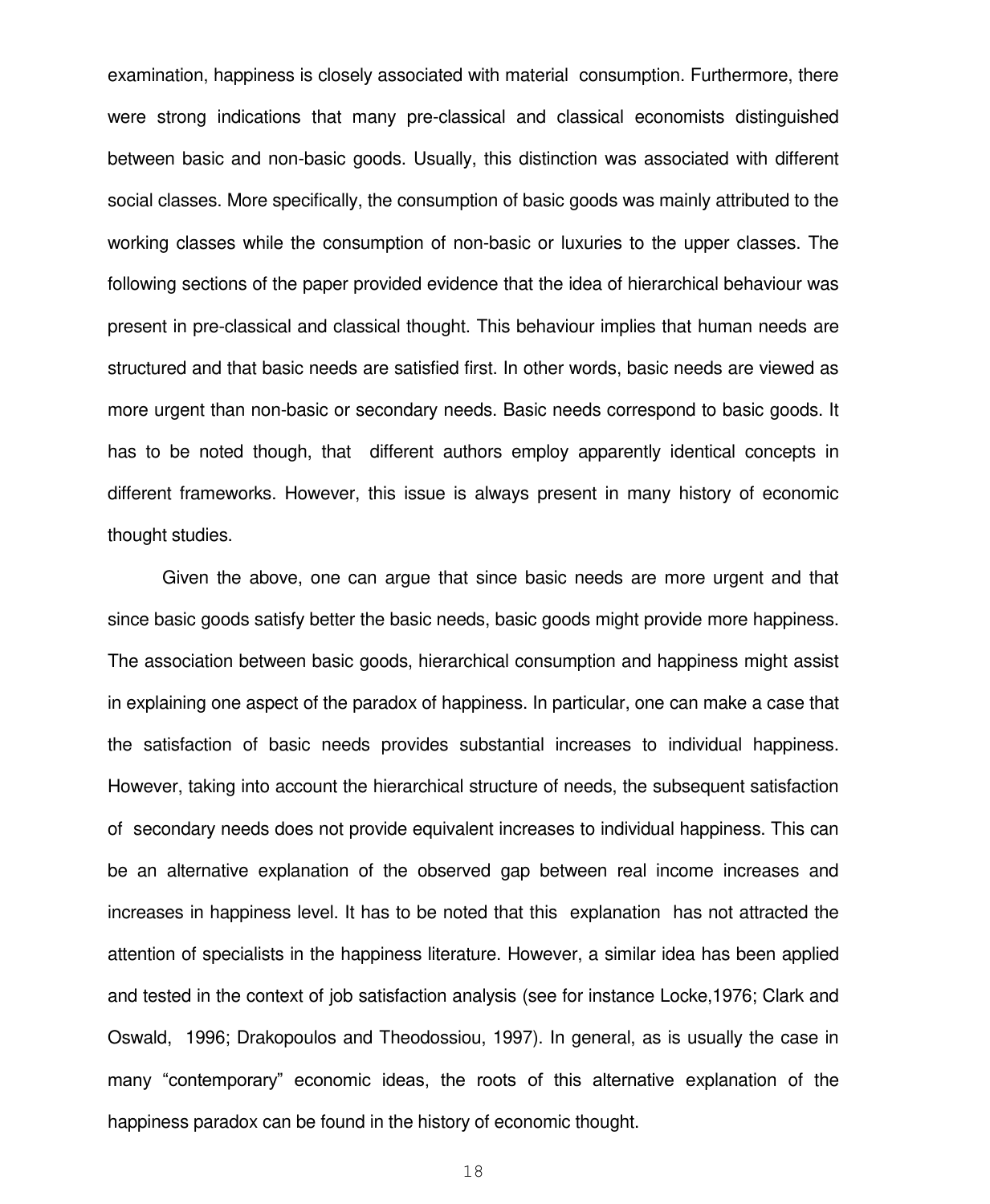examination, happiness is closely associated with material consumption. Furthermore, there were strong indications that many pre-classical and classical economists distinguished between basic and non-basic goods. Usually, this distinction was associated with different social classes. More specifically, the consumption of basic goods was mainly attributed to the working classes while the consumption of non-basic or luxuries to the upper classes. The following sections of the paper provided evidence that the idea of hierarchical behaviour was present in pre-classical and classical thought. This behaviour implies that human needs are structured and that basic needs are satisfied first. In other words, basic needs are viewed as more urgent than non-basic or secondary needs. Basic needs correspond to basic goods. It has to be noted though, that different authors employ apparently identical concepts in different frameworks. However, this issue is always present in many history of economic thought studies.

 Given the above, one can argue that since basic needs are more urgent and that since basic goods satisfy better the basic needs, basic goods might provide more happiness. The association between basic goods, hierarchical consumption and happiness might assist in explaining one aspect of the paradox of happiness. In particular, one can make a case that the satisfaction of basic needs provides substantial increases to individual happiness. However, taking into account the hierarchical structure of needs, the subsequent satisfaction of secondary needs does not provide equivalent increases to individual happiness. This can be an alternative explanation of the observed gap between real income increases and increases in happiness level. It has to be noted that this explanation has not attracted the attention of specialists in the happiness literature. However, a similar idea has been applied and tested in the context of job satisfaction analysis (see for instance Locke,1976; Clark and Oswald, 1996; Drakopoulos and Theodossiou, 1997). In general, as is usually the case in many "contemporary" economic ideas, the roots of this alternative explanation of the happiness paradox can be found in the history of economic thought.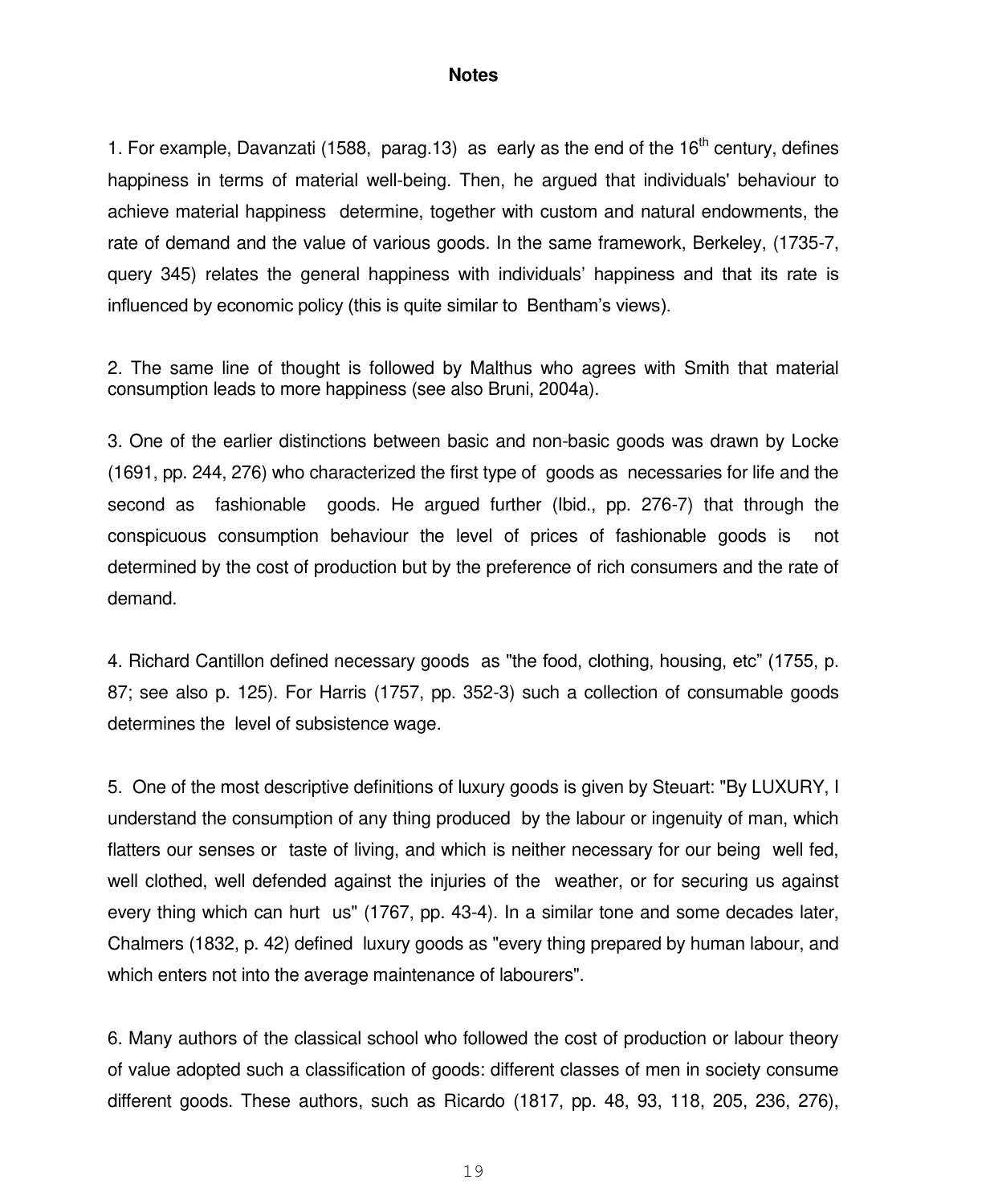#### **Notes**

1. For example, Davanzati (1588, parag.13) as early as the end of the  $16<sup>th</sup>$  century, defines happiness in terms of material well-being. Then, he argued that individuals' behaviour to achieve material happiness determine, together with custom and natural endowments, the rate of demand and the value of various goods. In the same framework, Berkeley, (1735-7, query 345) relates the general happiness with individuals" happiness and that its rate is influenced by economic policy (this is quite similar to Bentham"s views).

2. The same line of thought is followed by Malthus who agrees with Smith that material consumption leads to more happiness (see also Bruni, 2004a).

3. One of the earlier distinctions between basic and non-basic goods was drawn by Locke (1691, pp. 244, 276) who characterized the first type of goods as necessaries for life and the second as fashionable goods. He argued further (Ibid., pp. 276-7) that through the conspicuous consumption behaviour the level of prices of fashionable goods is not determined by the cost of production but by the preference of rich consumers and the rate of demand.

4. Richard Cantillon defined necessary goods as "the food, clothing, housing, etc" (1755, p. 87; see also p. 125). For Harris (1757, pp. 352-3) such a collection of consumable goods determines the level of subsistence wage.

5. One of the most descriptive definitions of luxury goods is given by Steuart: "By LUXURY, I understand the consumption of any thing produced by the labour or ingenuity of man, which flatters our senses or taste of living, and which is neither necessary for our being well fed, well clothed, well defended against the injuries of the weather, or for securing us against every thing which can hurt us" (1767, pp. 43-4). In a similar tone and some decades later, Chalmers (1832, p. 42) defined luxury goods as "every thing prepared by human labour, and which enters not into the average maintenance of labourers".

6. Many authors of the classical school who followed the cost of production or labour theory of value adopted such a classification of goods: different classes of men in society consume different goods. These authors, such as Ricardo (1817, pp. 48, 93, 118, 205, 236, 276),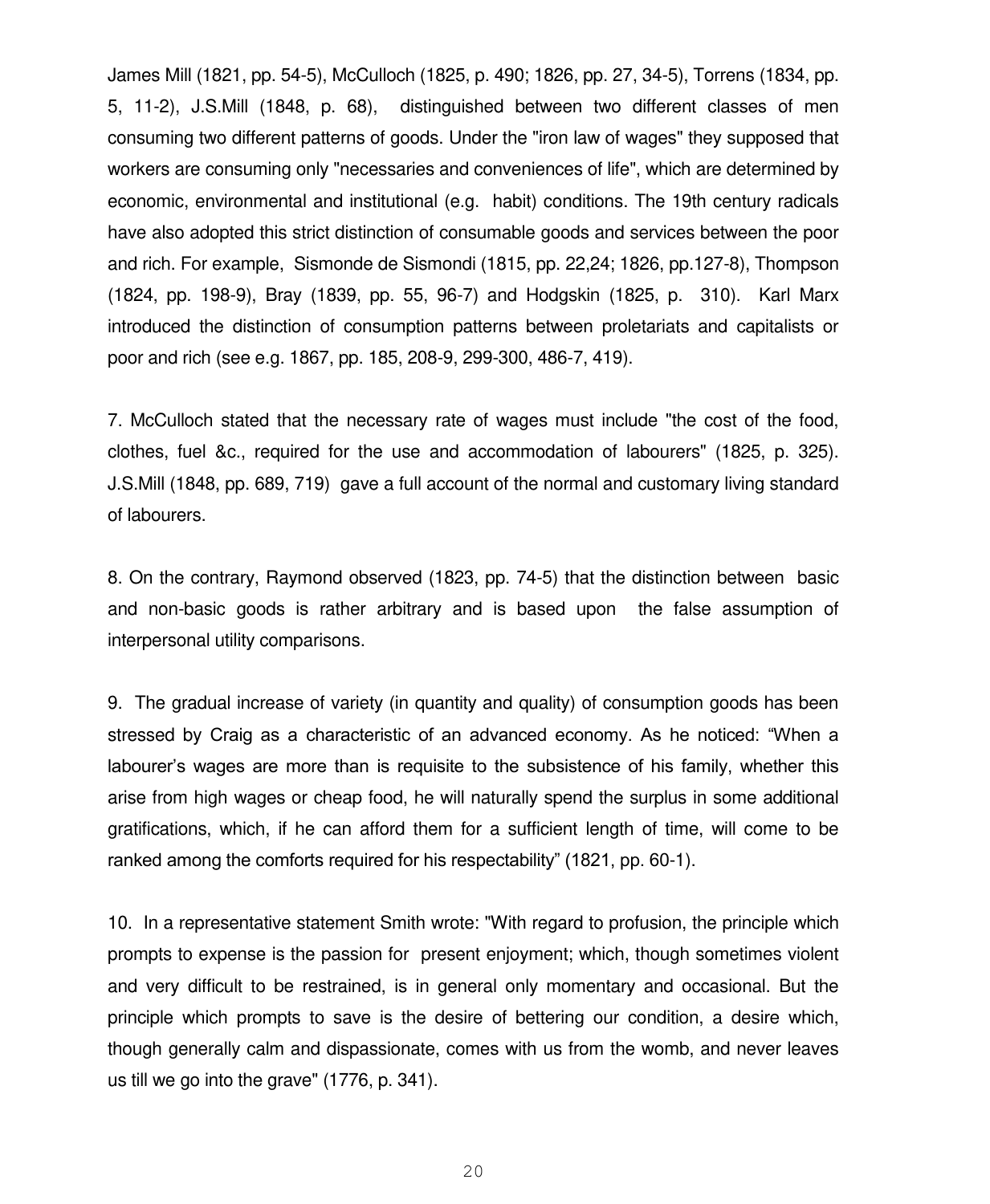James Mill (1821, pp. 54-5), McCulloch (1825, p. 490; 1826, pp. 27, 34-5), Torrens (1834, pp. 5, 11-2), J.S.Mill (1848, p. 68), distinguished between two different classes of men consuming two different patterns of goods. Under the "iron law of wages" they supposed that workers are consuming only "necessaries and conveniences of life", which are determined by economic, environmental and institutional (e.g. habit) conditions. The 19th century radicals have also adopted this strict distinction of consumable goods and services between the poor and rich. For example, Sismonde de Sismondi (1815, pp. 22,24; 1826, pp.127-8), Thompson (1824, pp. 198-9), Bray (1839, pp. 55, 96-7) and Hodgskin (1825, p. 310). Karl Marx introduced the distinction of consumption patterns between proletariats and capitalists or poor and rich (see e.g. 1867, pp. 185, 208-9, 299-300, 486-7, 419).

7. McCulloch stated that the necessary rate of wages must include "the cost of the food, clothes, fuel &c., required for the use and accommodation of labourers" (1825, p. 325). J.S.Mill (1848, pp. 689, 719) gave a full account of the normal and customary living standard of labourers.

8. On the contrary, Raymond observed (1823, pp. 74-5) that the distinction between basic and non-basic goods is rather arbitrary and is based upon the false assumption of interpersonal utility comparisons.

9. The gradual increase of variety (in quantity and quality) of consumption goods has been stressed by Craig as a characteristic of an advanced economy. As he noticed: "When a labourer's wages are more than is requisite to the subsistence of his family, whether this arise from high wages or cheap food, he will naturally spend the surplus in some additional gratifications, which, if he can afford them for a sufficient length of time, will come to be ranked among the comforts required for his respectability" (1821, pp. 60-1).

10. In a representative statement Smith wrote: "With regard to profusion, the principle which prompts to expense is the passion for present enjoyment; which, though sometimes violent and very difficult to be restrained, is in general only momentary and occasional. But the principle which prompts to save is the desire of bettering our condition, a desire which, though generally calm and dispassionate, comes with us from the womb, and never leaves us till we go into the grave" (1776, p. 341).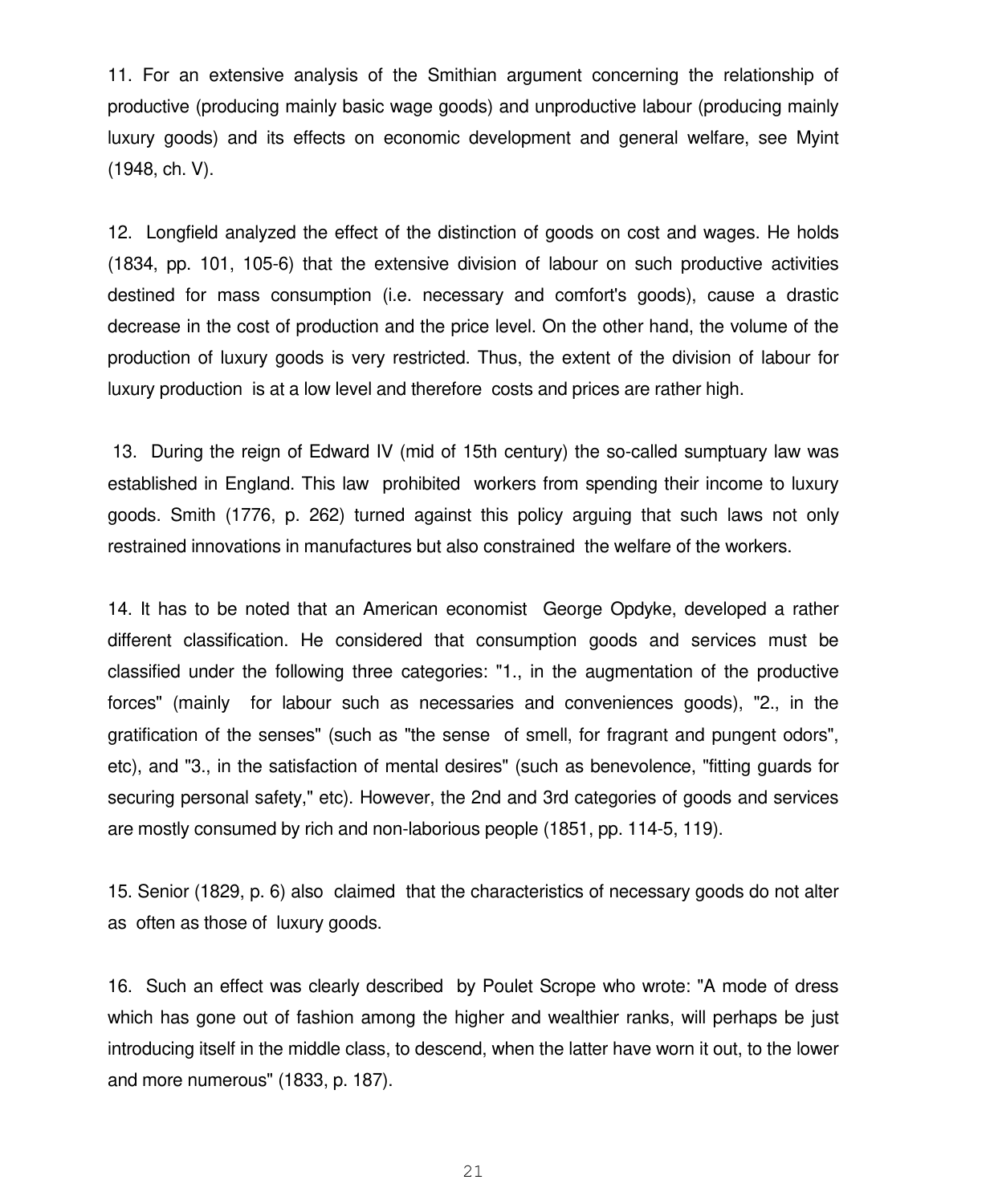11. For an extensive analysis of the Smithian argument concerning the relationship of productive (producing mainly basic wage goods) and unproductive labour (producing mainly luxury goods) and its effects on economic development and general welfare, see Myint (1948, ch. V).

12. Longfield analyzed the effect of the distinction of goods on cost and wages. He holds (1834, pp. 101, 105-6) that the extensive division of labour on such productive activities destined for mass consumption (i.e. necessary and comfort's goods), cause a drastic decrease in the cost of production and the price level. On the other hand, the volume of the production of luxury goods is very restricted. Thus, the extent of the division of labour for luxury production is at a low level and therefore costs and prices are rather high.

 13. During the reign of Edward IV (mid of 15th century) the so-called sumptuary law was established in England. This law prohibited workers from spending their income to luxury goods. Smith (1776, p. 262) turned against this policy arguing that such laws not only restrained innovations in manufactures but also constrained the welfare of the workers.

14. It has to be noted that an American economist George Opdyke, developed a rather different classification. He considered that consumption goods and services must be classified under the following three categories: "1., in the augmentation of the productive forces" (mainly for labour such as necessaries and conveniences goods), "2., in the gratification of the senses" (such as "the sense of smell, for fragrant and pungent odors", etc), and "3., in the satisfaction of mental desires" (such as benevolence, "fitting guards for securing personal safety," etc). However, the 2nd and 3rd categories of goods and services are mostly consumed by rich and non-laborious people (1851, pp. 114-5, 119).

15. Senior (1829, p. 6) also claimed that the characteristics of necessary goods do not alter as often as those of luxury goods.

16. Such an effect was clearly described by Poulet Scrope who wrote: "A mode of dress which has gone out of fashion among the higher and wealthier ranks, will perhaps be just introducing itself in the middle class, to descend, when the latter have worn it out, to the lower and more numerous" (1833, p. 187).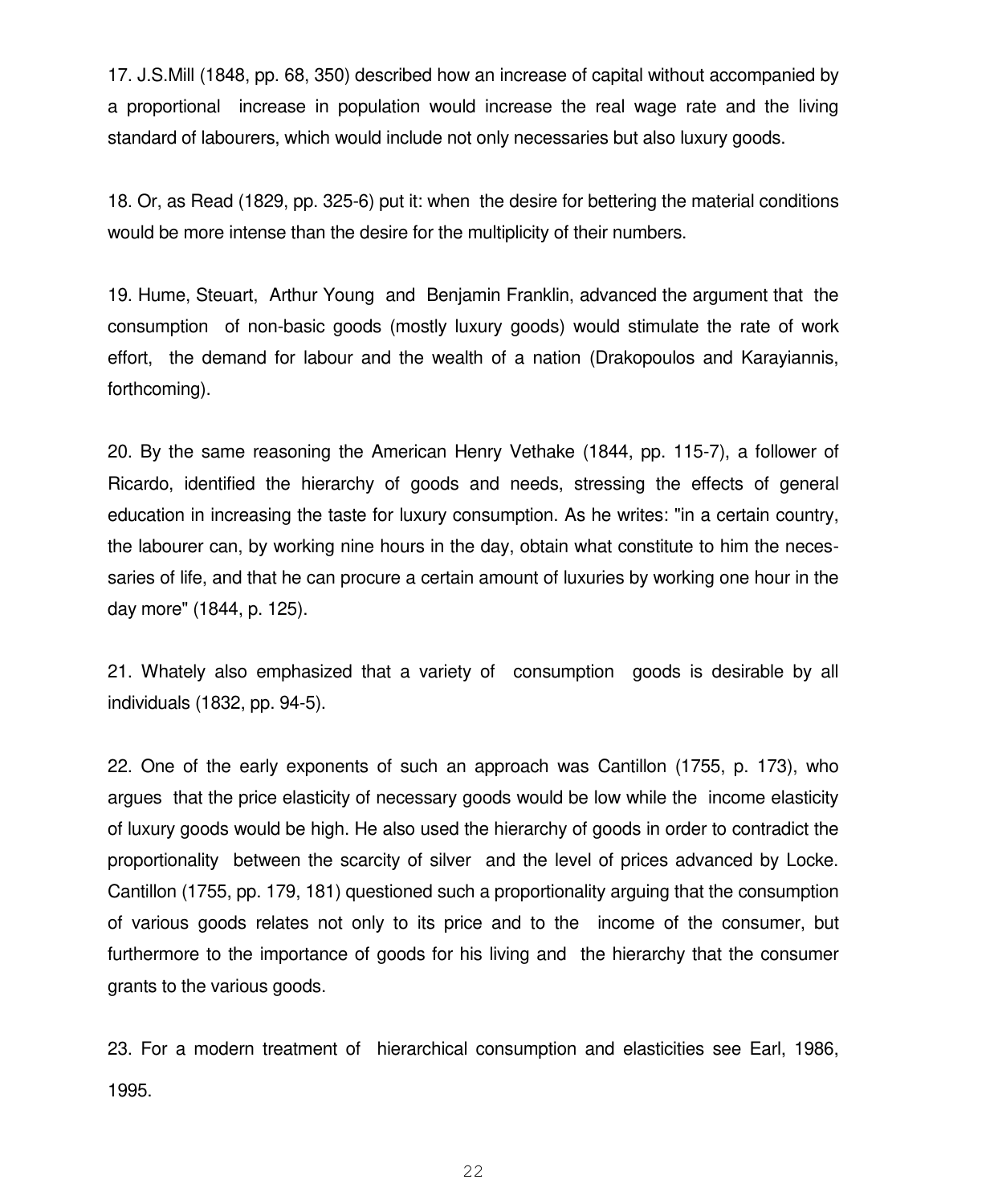17. J.S.Mill (1848, pp. 68, 350) described how an increase of capital without accompanied by a proportional increase in population would increase the real wage rate and the living standard of labourers, which would include not only necessaries but also luxury goods.

18. Or, as Read (1829, pp. 325-6) put it: when the desire for bettering the material conditions would be more intense than the desire for the multiplicity of their numbers.

19. Hume, Steuart, Arthur Young and Benjamin Franklin, advanced the argument that the consumption of non-basic goods (mostly luxury goods) would stimulate the rate of work effort, the demand for labour and the wealth of a nation (Drakopoulos and Karayiannis, forthcoming).

20. By the same reasoning the American Henry Vethake (1844, pp. 115-7), a follower of Ricardo, identified the hierarchy of goods and needs, stressing the effects of general education in increasing the taste for luxury consumption. As he writes: "in a certain country, the labourer can, by working nine hours in the day, obtain what constitute to him the necessaries of life, and that he can procure a certain amount of luxuries by working one hour in the day more" (1844, p. 125).

21. Whately also emphasized that a variety of consumption goods is desirable by all individuals (1832, pp. 94-5).

22. One of the early exponents of such an approach was Cantillon (1755, p. 173), who argues that the price elasticity of necessary goods would be low while the income elasticity of luxury goods would be high. He also used the hierarchy of goods in order to contradict the proportionality between the scarcity of silver and the level of prices advanced by Locke. Cantillon (1755, pp. 179, 181) questioned such a proportionality arguing that the consumption of various goods relates not only to its price and to the income of the consumer, but furthermore to the importance of goods for his living and the hierarchy that the consumer grants to the various goods.

23. For a modern treatment of hierarchical consumption and elasticities see Earl, 1986, 1995.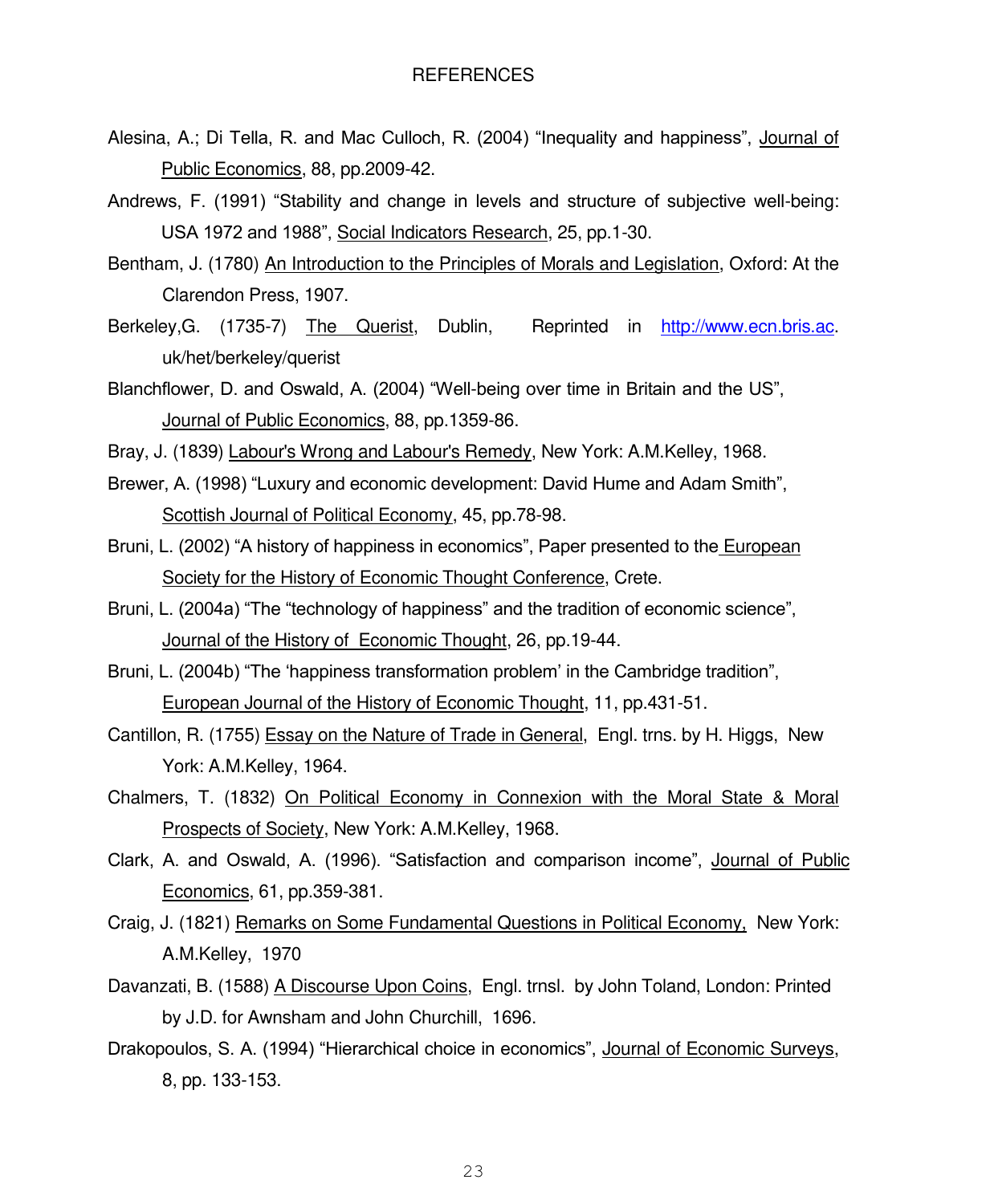- Alesina, A.; Di Tella, R. and Mac Culloch, R. (2004) "Inequality and happiness", Journal of Public Economics, 88, pp.2009-42.
- Andrews, F. (1991) "Stability and change in levels and structure of subjective well-being: USA 1972 and 1988", Social Indicators Research, 25, pp.1-30.
- Bentham, J. (1780) An Introduction to the Principles of Morals and Legislation, Oxford: At the Clarendon Press, 1907.
- Berkeley,G. (1735-7) The Querist, Dublin,Reprinted in [http://www.ecn.bris.ac.](http://www.ecn.bris.ac/) uk/het/berkeley/querist
- Blanchflower, D. and Oswald, A. (2004) "Well-being over time in Britain and the US", Journal of Public Economics, 88, pp.1359-86.
- Bray, J. (1839) Labour's Wrong and Labour's Remedy, New York: A.M.Kelley, 1968.
- Brewer, A. (1998) "Luxury and economic development: David Hume and Adam Smith", Scottish Journal of Political Economy, 45, pp.78-98.
- Bruni, L. (2002) "A history of happiness in economics", Paper presented to the European Society for the History of Economic Thought Conference, Crete.
- Bruni, L. (2004a) "The "technology of happiness" and the tradition of economic science", Journal of the History of Economic Thought, 26, pp.19-44.
- Bruni, L. (2004b) "The 'happiness transformation problem' in the Cambridge tradition", European Journal of the History of Economic Thought, 11, pp.431-51.
- Cantillon, R. (1755) Essay on the Nature of Trade in General, Engl. trns. by H. Higgs, New York: A.M.Kelley, 1964.
- Chalmers, T. (1832) On Political Economy in Connexion with the Moral State & Moral Prospects of Society, New York: A.M.Kelley, 1968.
- Clark, A. and Oswald, A. (1996). "Satisfaction and comparison income", Journal of Public Economics, 61, pp.359-381.
- Craig, J. (1821) Remarks on Some Fundamental Questions in Political Economy, New York: A.M.Kelley, 1970
- Davanzati, B. (1588) A Discourse Upon Coins, Engl. trnsl. by John Toland, London: Printed by J.D. for Awnsham and John Churchill, 1696.
- Drakopoulos, S. A. (1994) "Hierarchical choice in economics", Journal of Economic Surveys, 8, pp. 133-153.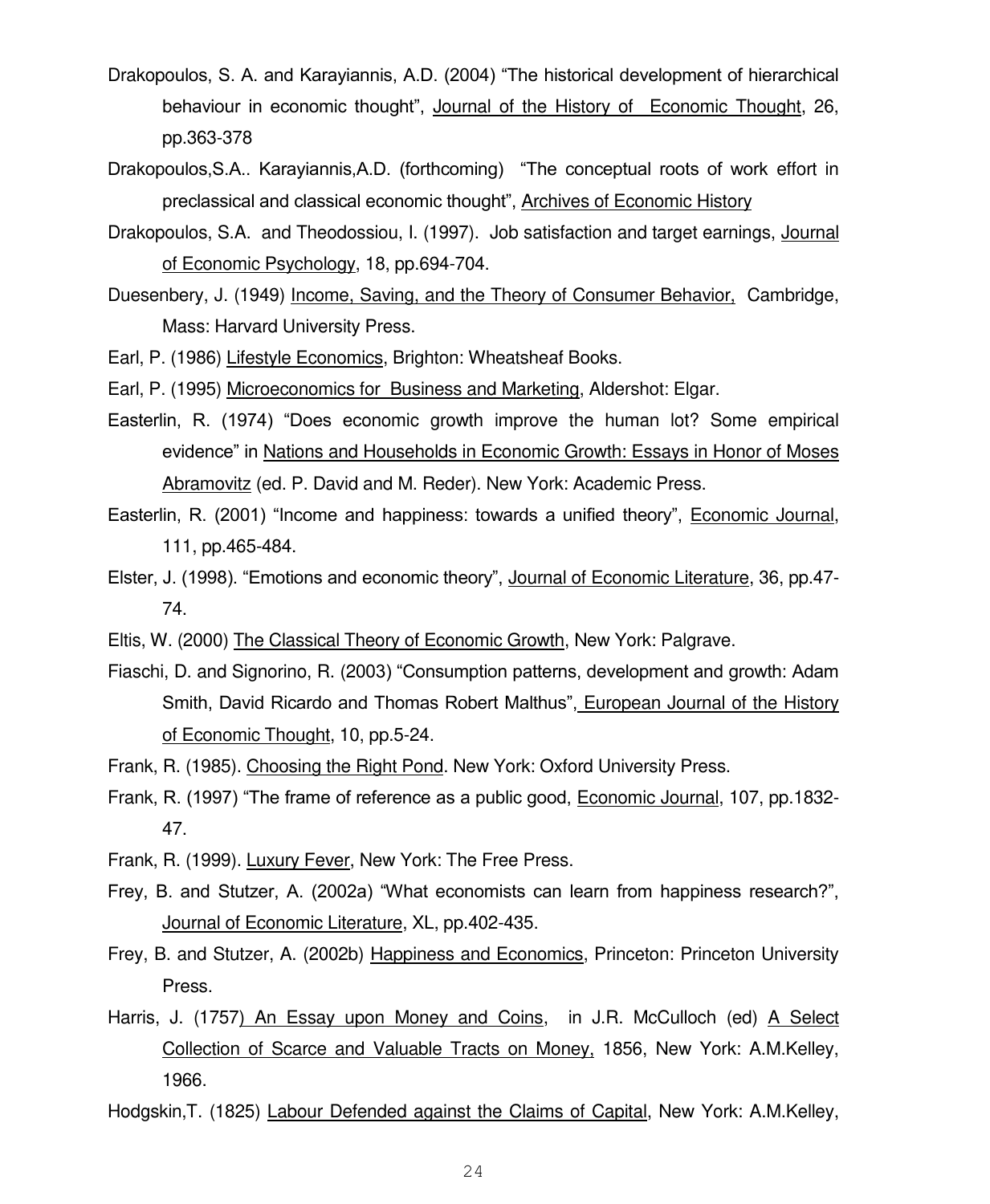- Drakopoulos, S. A. and Karayiannis, A.D. (2004) "The historical development of hierarchical behaviour in economic thought", Journal of the History of Economic Thought, 26, pp.363-378
- Drakopoulos,S.A.. Karayiannis,A.D. (forthcoming) "The conceptual roots of work effort in preclassical and classical economic thought", Archives of Economic History
- Drakopoulos, S.A. and Theodossiou, I. (1997). Job satisfaction and target earnings, Journal of Economic Psychology, 18, pp.694-704.
- Duesenbery, J. (1949) Income, Saving, and the Theory of Consumer Behavior, Cambridge, Mass: Harvard University Press.
- Earl, P. (1986) Lifestyle Economics, Brighton: Wheatsheaf Books.
- Earl, P. (1995) Microeconomics for Business and Marketing, Aldershot: Elgar.
- Easterlin, R. (1974) "Does economic growth improve the human lot? Some empirical evidence" in Nations and Households in Economic Growth: Essays in Honor of Moses Abramovitz (ed. P. David and M. Reder). New York: Academic Press.
- Easterlin, R. (2001) "Income and happiness: towards a unified theory", Economic Journal, 111, pp.465-484.
- Elster, J. (1998). "Emotions and economic theory", Journal of Economic Literature, 36, pp.47- 74.
- Eltis, W. (2000) The Classical Theory of Economic Growth, New York: Palgrave.
- Fiaschi, D. and Signorino, R. (2003) "Consumption patterns, development and growth: Adam Smith, David Ricardo and Thomas Robert Malthus", European Journal of the History of Economic Thought, 10, pp.5-24.
- Frank, R. (1985). Choosing the Right Pond. New York: Oxford University Press.
- Frank, R. (1997) "The frame of reference as a public good, Economic Journal, 107, pp.1832- 47.
- Frank, R. (1999). Luxury Fever, New York: The Free Press.
- Frey, B. and Stutzer, A. (2002a) "What economists can learn from happiness research?", Journal of Economic Literature, XL, pp.402-435.
- Frey, B. and Stutzer, A. (2002b) Happiness and Economics, Princeton: Princeton University Press.
- Harris, J. (1757) An Essay upon Money and Coins, in J.R. McCulloch (ed) A Select Collection of Scarce and Valuable Tracts on Money, 1856, New York: A.M.Kelley, 1966.
- Hodgskin,T. (1825) Labour Defended against the Claims of Capital, New York: A.M.Kelley,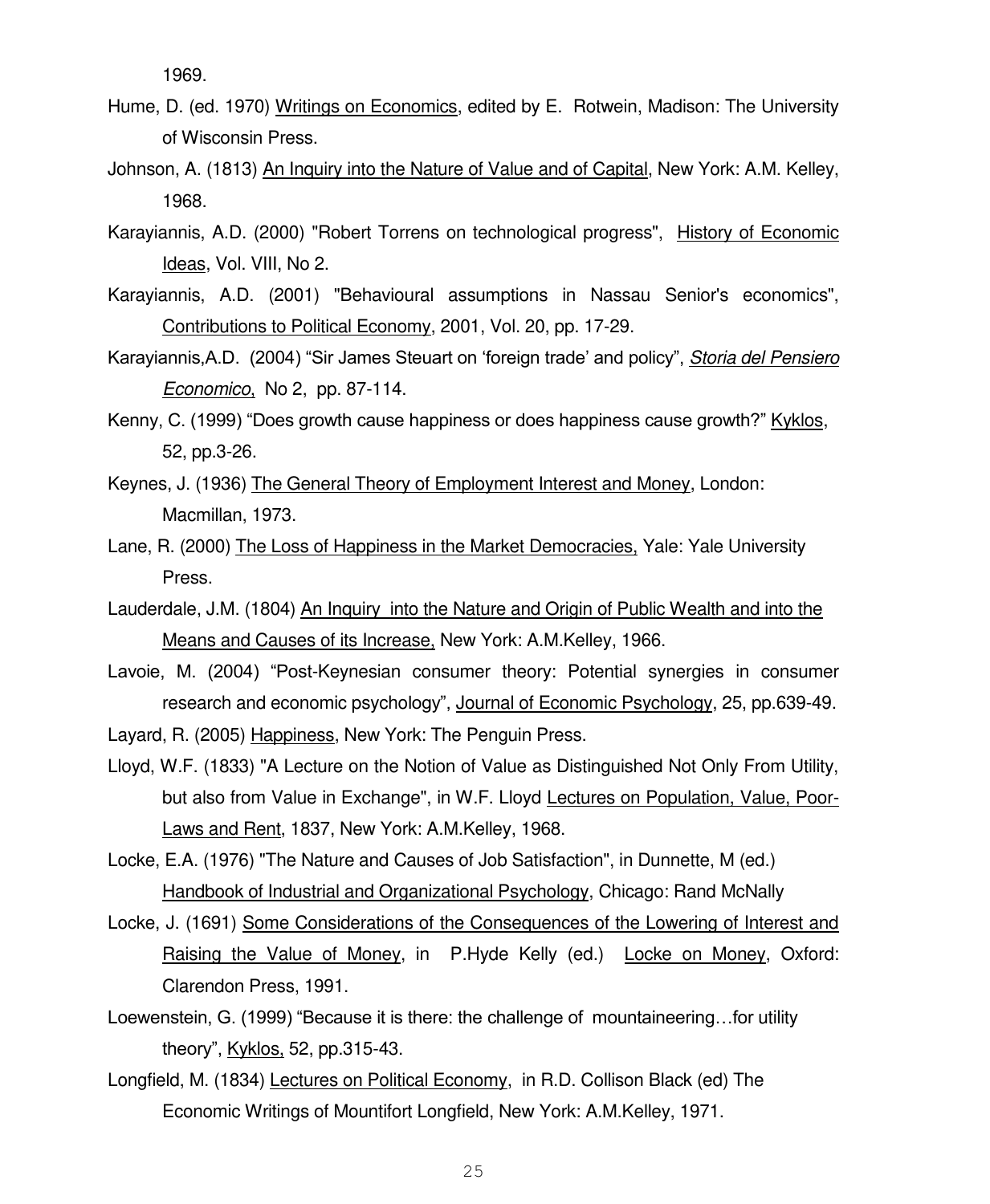1969.

- Hume, D. (ed. 1970) Writings on Economics, edited by E. Rotwein, Madison: The University of Wisconsin Press.
- Johnson, A. (1813) An Inquiry into the Nature of Value and of Capital, New York: A.M. Kelley, 1968.
- Karayiannis, A.D. (2000) "Robert Torrens on technological progress", History of Economic Ideas, Vol. VIII, No 2.
- Karayiannis, A.D. (2001) "Behavioural assumptions in Nassau Senior's economics", Contributions to Political Economy, 2001, Vol. 20, pp. 17-29.
- Karayiannis,A.D. (2004) "Sir James Steuart on "foreign trade" and policy", *Storia del Pensiero Economico*, No 2, pp. 87-114.
- Kenny, C. (1999) "Does growth cause happiness or does happiness cause growth?" Kyklos, 52, pp.3-26.
- Keynes, J. (1936) The General Theory of Employment Interest and Money, London: Macmillan, 1973.
- Lane, R. (2000) The Loss of Happiness in the Market Democracies, Yale: Yale University Press.
- Lauderdale, J.M. (1804) An Inquiry into the Nature and Origin of Public Wealth and into the Means and Causes of its Increase, New York: A.M.Kelley, 1966.
- Lavoie, M. (2004) "Post-Keynesian consumer theory: Potential synergies in consumer research and economic psychology", Journal of Economic Psychology, 25, pp.639-49.
- Layard, R. (2005) Happiness, New York: The Penguin Press.
- Lloyd, W.F. (1833) "A Lecture on the Notion of Value as Distinguished Not Only From Utility, but also from Value in Exchange", in W.F. Lloyd Lectures on Population, Value, Poor-Laws and Rent, 1837, New York: A.M.Kelley, 1968.
- Locke, E.A. (1976) "The Nature and Causes of Job Satisfaction", in Dunnette, M (ed.) Handbook of Industrial and Organizational Psychology, Chicago: Rand McNally
- Locke, J. (1691) Some Considerations of the Consequences of the Lowering of Interest and Raising the Value of Money, in P.Hyde Kelly (ed.) Locke on Money, Oxford: Clarendon Press, 1991.
- Loewenstein, G. (1999) "Because it is there: the challenge of mountaineering…for utility theory", Kyklos, 52, pp.315-43.
- Longfield, M. (1834) Lectures on Political Economy, in R.D. Collison Black (ed) The Economic Writings of Mountifort Longfield, New York: A.M.Kelley, 1971.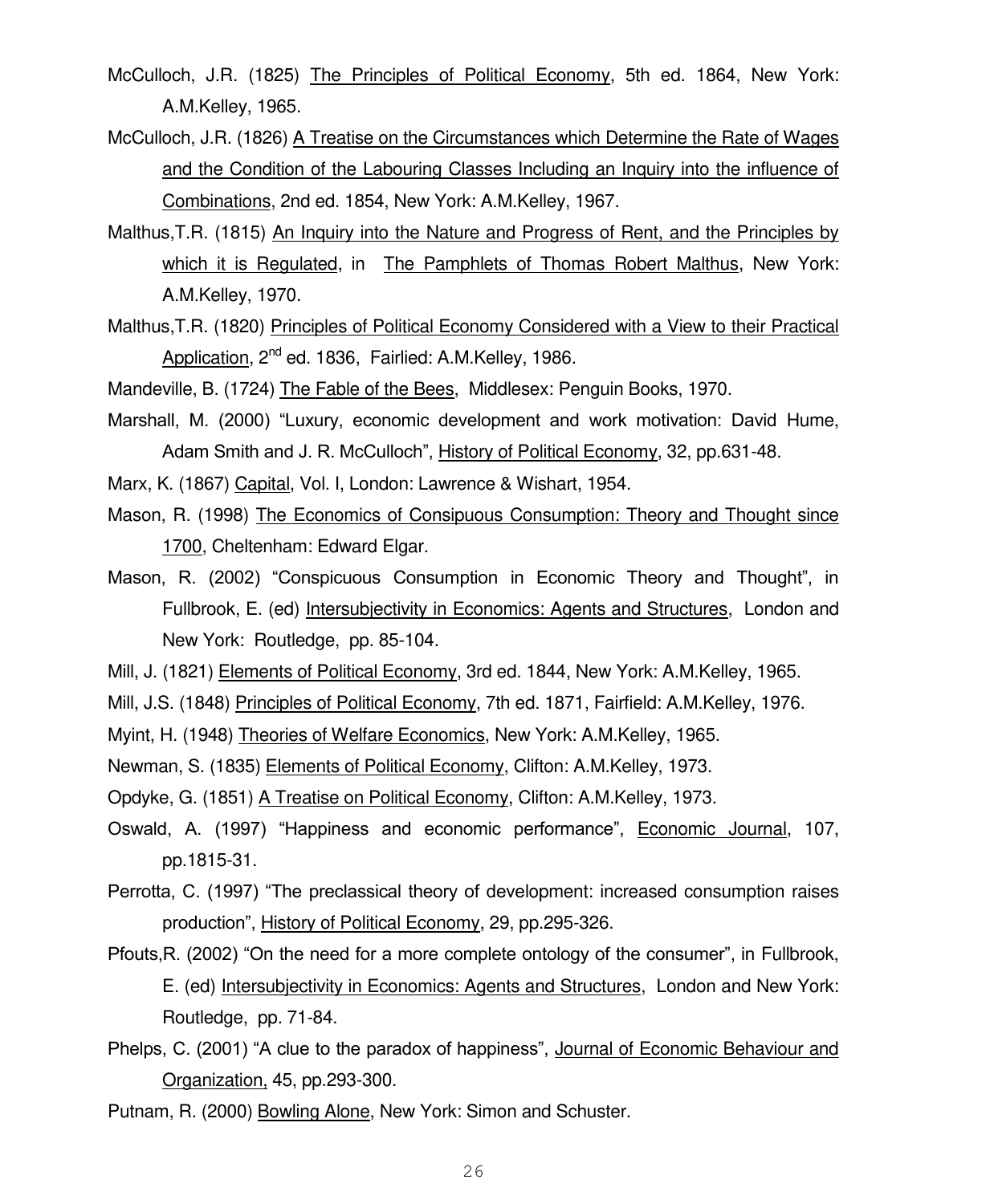- McCulloch, J.R. (1825) The Principles of Political Economy, 5th ed. 1864, New York: A.M.Kelley, 1965.
- McCulloch, J.R. (1826) A Treatise on the Circumstances which Determine the Rate of Wages and the Condition of the Labouring Classes Including an Inquiry into the influence of Combinations, 2nd ed. 1854, New York: A.M.Kelley, 1967.
- Malthus,T.R. (1815) An Inquiry into the Nature and Progress of Rent, and the Principles by which it is Regulated, in The Pamphlets of Thomas Robert Malthus, New York: A.M.Kelley, 1970.
- Malthus,T.R. (1820) Principles of Political Economy Considered with a View to their Practical Application, 2<sup>nd</sup> ed. 1836, Fairlied: A.M.Kelley, 1986.

Mandeville, B. (1724) The Fable of the Bees, Middlesex: Penguin Books, 1970.

- Marshall, M. (2000) "Luxury, economic development and work motivation: David Hume, Adam Smith and J. R. McCulloch", History of Political Economy, 32, pp.631-48.
- Marx, K. (1867) Capital, Vol. I, London: Lawrence & Wishart, 1954.
- Mason, R. (1998) The Economics of Consipuous Consumption: Theory and Thought since 1700, Cheltenham: Edward Elgar.
- Mason, R. (2002) "Conspicuous Consumption in Economic Theory and Thought", in Fullbrook, E. (ed) Intersubjectivity in Economics: Agents and Structures, London and New York: Routledge, pp. 85-104.
- Mill, J. (1821) Elements of Political Economy, 3rd ed. 1844, New York: A.M.Kelley, 1965.
- Mill, J.S. (1848) Principles of Political Economy, 7th ed. 1871, Fairfield: A.M.Kelley, 1976.
- Myint, H. (1948) Theories of Welfare Economics, New York: A.M.Kelley, 1965.
- Newman, S. (1835) Elements of Political Economy, Clifton: A.M.Kelley, 1973.
- Opdyke, G. (1851) A Treatise on Political Economy, Clifton: A.M.Kelley, 1973.
- Oswald, A. (1997) "Happiness and economic performance", Economic Journal, 107, pp.1815-31.
- Perrotta, C. (1997) "The preclassical theory of development: increased consumption raises production", History of Political Economy, 29, pp.295-326.
- Pfouts,R. (2002) "On the need for a more complete ontology of the consumer", in Fullbrook, E. (ed) Intersubjectivity in Economics: Agents and Structures, London and New York: Routledge, pp. 71-84.
- Phelps, C. (2001) "A clue to the paradox of happiness", Journal of Economic Behaviour and Organization, 45, pp.293-300.
- Putnam, R. (2000) Bowling Alone, New York: Simon and Schuster.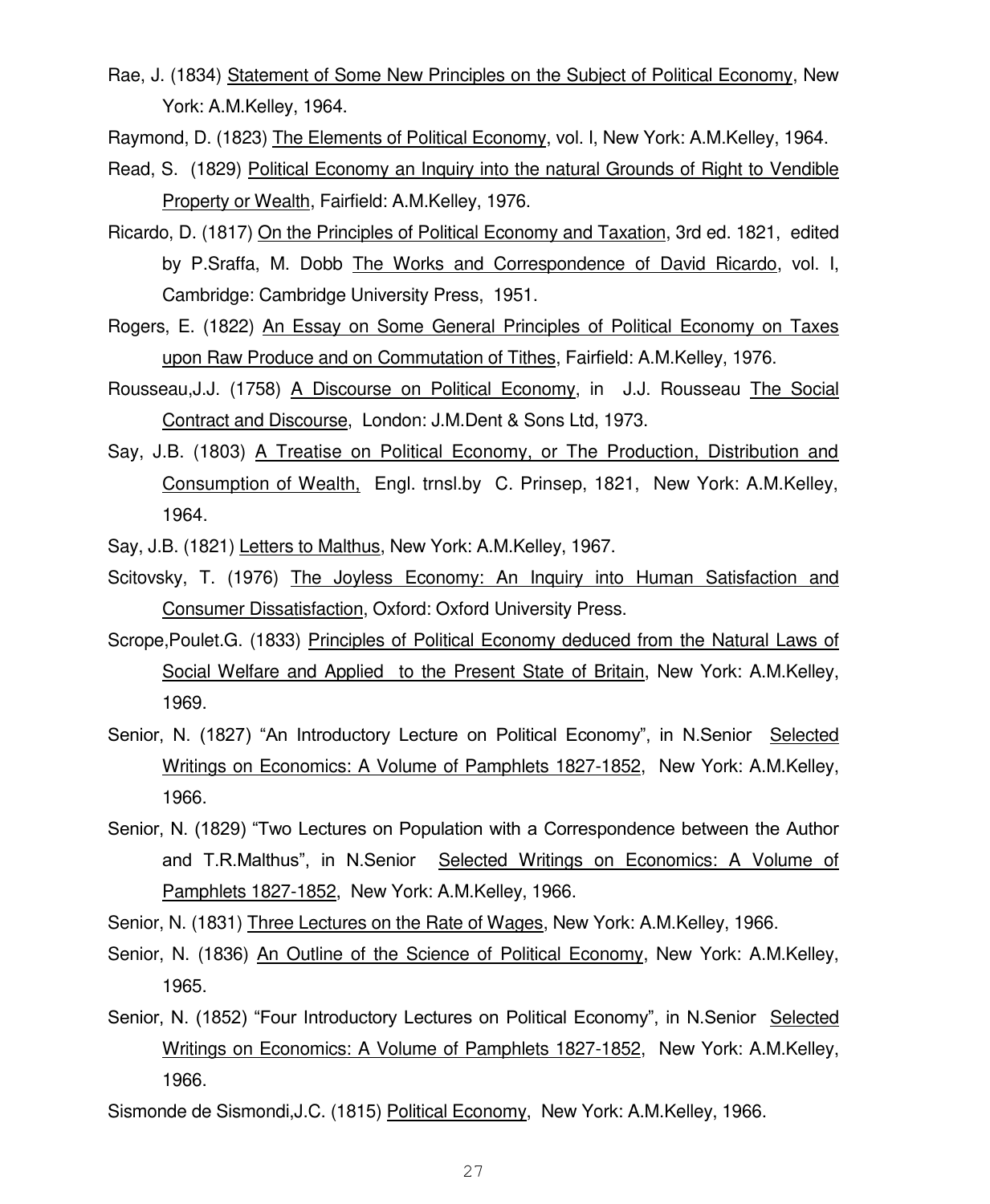Rae, J. (1834) Statement of Some New Principles on the Subject of Political Economy, New York: A.M.Kelley, 1964.

Raymond, D. (1823) The Elements of Political Economy, vol. I, New York: A.M.Kelley, 1964.

- Read, S. (1829) Political Economy an Inquiry into the natural Grounds of Right to Vendible Property or Wealth, Fairfield: A.M.Kelley, 1976.
- Ricardo, D. (1817) On the Principles of Political Economy and Taxation, 3rd ed. 1821, edited by P.Sraffa, M. Dobb The Works and Correspondence of David Ricardo, vol. I, Cambridge: Cambridge University Press, 1951.
- Rogers, E. (1822) An Essay on Some General Principles of Political Economy on Taxes upon Raw Produce and on Commutation of Tithes, Fairfield: A.M.Kelley, 1976.
- Rousseau,J.J. (1758) A Discourse on Political Economy, in J.J. Rousseau The Social Contract and Discourse, London: J.M.Dent & Sons Ltd, 1973.
- Say, J.B. (1803) A Treatise on Political Economy, or The Production, Distribution and Consumption of Wealth, Engl. trnsl.by C. Prinsep, 1821, New York: A.M.Kelley, 1964.
- Say, J.B. (1821) Letters to Malthus, New York: A.M.Kelley, 1967.
- Scitovsky, T. (1976) The Joyless Economy: An Inquiry into Human Satisfaction and Consumer Dissatisfaction, Oxford: Oxford University Press.
- Scrope,Poulet.G. (1833) Principles of Political Economy deduced from the Natural Laws of Social Welfare and Applied to the Present State of Britain, New York: A.M.Kelley, 1969.
- Senior, N. (1827) "An Introductory Lecture on Political Economy", in N.Senior Selected Writings on Economics: A Volume of Pamphlets 1827-1852, New York: A.M.Kelley, 1966.
- Senior, N. (1829) "Two Lectures on Population with a Correspondence between the Author and T.R.Malthus", in N.Senior Selected Writings on Economics: A Volume of Pamphlets 1827-1852, New York: A.M.Kelley, 1966.
- Senior, N. (1831) Three Lectures on the Rate of Wages, New York: A.M.Kelley, 1966.
- Senior, N. (1836) An Outline of the Science of Political Economy, New York: A.M.Kelley, 1965.
- Senior, N. (1852) "Four Introductory Lectures on Political Economy", in N.Senior Selected Writings on Economics: A Volume of Pamphlets 1827-1852, New York: A.M.Kelley, 1966.
- Sismonde de Sismondi,J.C. (1815) Political Economy, New York: A.M.Kelley, 1966.